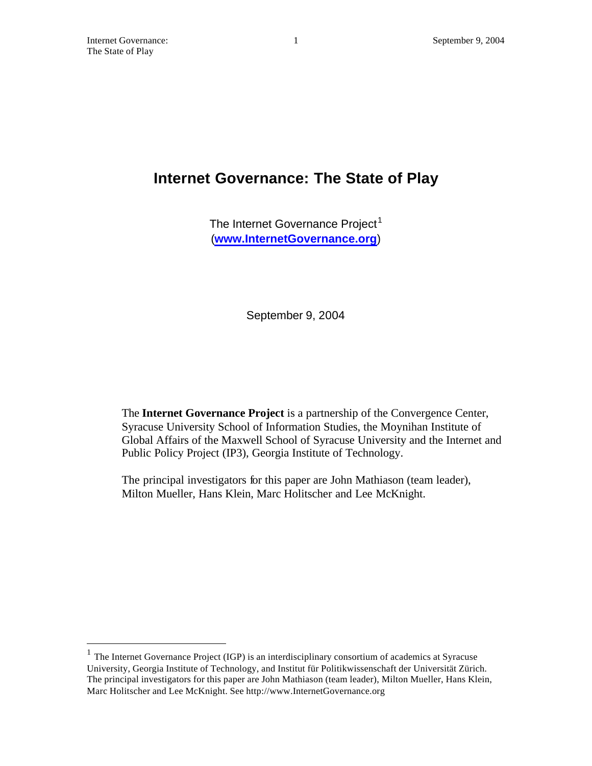$\overline{a}$ 

# **Internet Governance: The State of Play**

The Internet Governance Project<sup>1</sup> (**www.InternetGovernance.org**)

September 9, 2004

The **Internet Governance Project** is a partnership of the Convergence Center, Syracuse University School of Information Studies, the Moynihan Institute of Global Affairs of the Maxwell School of Syracuse University and the Internet and Public Policy Project (IP3), Georgia Institute of Technology.

The principal investigators for this paper are John Mathiason (team leader), Milton Mueller, Hans Klein, Marc Holitscher and Lee McKnight.

<sup>&</sup>lt;sup>1</sup> The Internet Governance Project (IGP) is an interdisciplinary consortium of academics at Syracuse University, Georgia Institute of Technology, and Institut für Politikwissenschaft der Universität Zürich. The principal investigators for this paper are John Mathiason (team leader), Milton Mueller, Hans Klein, Marc Holitscher and Lee McKnight. See http://www.InternetGovernance.org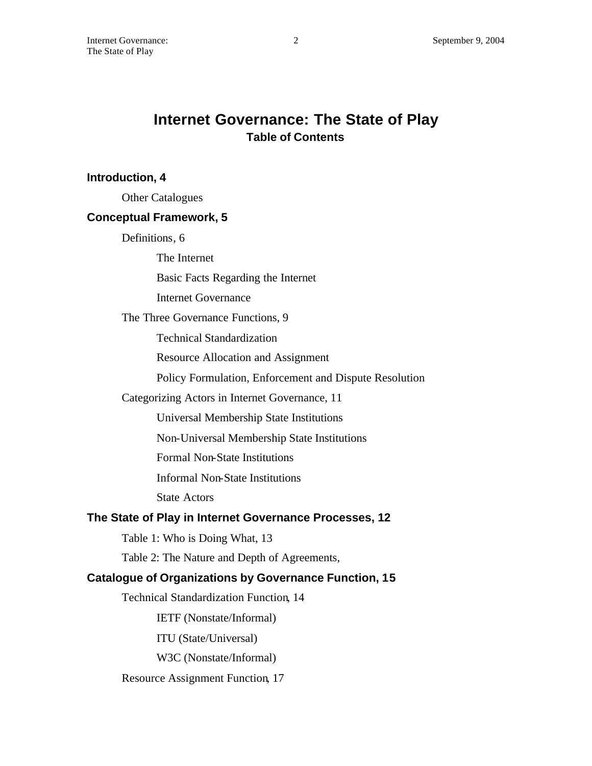# **Internet Governance: The State of Play Table of Contents**

## **Introduction, 4**

Other Catalogues

## **Conceptual Framework, 5**

Definitions, 6

The Internet

Basic Facts Regarding the Internet

Internet Governance

The Three Governance Functions, 9

Technical Standardization

Resource Allocation and Assignment

Policy Formulation, Enforcement and Dispute Resolution

#### Categorizing Actors in Internet Governance, 11

Universal Membership State Institutions

Non-Universal Membership State Institutions

Formal Non-State Institutions

Informal Non-State Institutions

State Actors

## **The State of Play in Internet Governance Processes, 12**

Table 1: Who is Doing What, 13

Table 2: The Nature and Depth of Agreements,

#### **Catalogue of Organizations by Governance Function, 15**

Technical Standardization Function, 14

IETF (Nonstate/Informal)

ITU (State/Universal)

W3C (Nonstate/Informal)

Resource Assignment Function, 17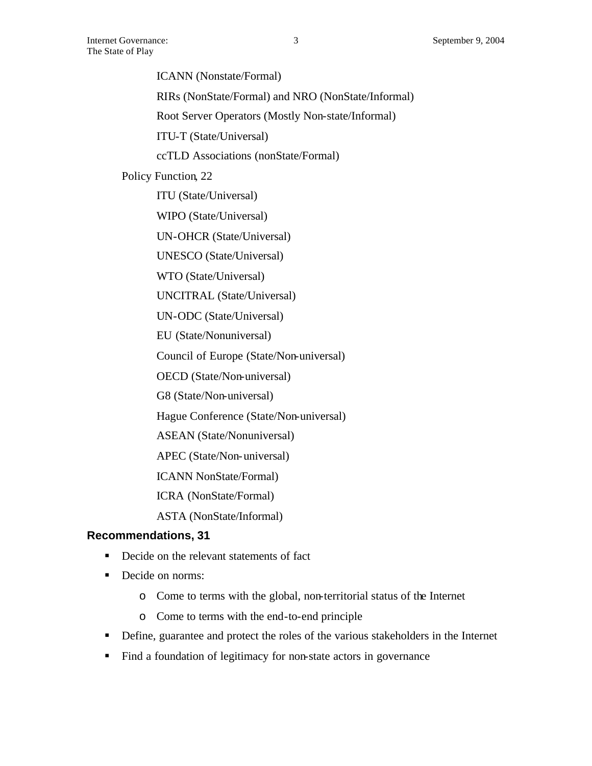ICANN (Nonstate/Formal)

RIRs (NonState/Formal) and NRO (NonState/Informal)

Root Server Operators (Mostly Non-state/Informal)

ITU-T (State/Universal)

ccTLD Associations (nonState/Formal)

Policy Function, 22

ITU (State/Universal)

WIPO (State/Universal)

UN-OHCR (State/Universal)

UNESCO (State/Universal)

WTO (State/Universal)

UNCITRAL (State/Universal)

UN-ODC (State/Universal)

EU (State/Nonuniversal)

Council of Europe (State/Non-universal)

OECD (State/Non-universal)

G8 (State/Non-universal)

Hague Conference (State/Non-universal)

ASEAN (State/Nonuniversal)

APEC (State/Non-universal)

ICANN NonState/Formal)

ICRA (NonState/Formal)

ASTA (NonState/Informal)

#### **Recommendations, 31**

- Decide on the relevant statements of fact
- Decide on norms:
	- o Come to terms with the global, non-territorial status of the Internet
	- o Come to terms with the end-to-end principle
- **•** Define, guarantee and protect the roles of the various stakeholders in the Internet
- Find a foundation of legitimacy for non-state actors in governance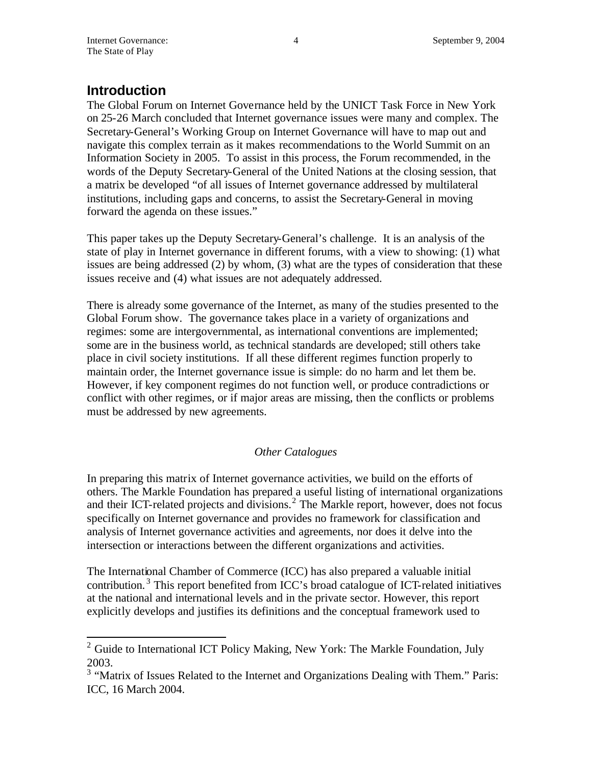# **Introduction**

The Global Forum on Internet Governance held by the UNICT Task Force in New York on 25-26 March concluded that Internet governance issues were many and complex. The Secretary-General's Working Group on Internet Governance will have to map out and navigate this complex terrain as it makes recommendations to the World Summit on an Information Society in 2005. To assist in this process, the Forum recommended, in the words of the Deputy Secretary-General of the United Nations at the closing session, that a matrix be developed "of all issues of Internet governance addressed by multilateral institutions, including gaps and concerns, to assist the Secretary-General in moving forward the agenda on these issues."

This paper takes up the Deputy Secretary-General's challenge. It is an analysis of the state of play in Internet governance in different forums, with a view to showing: (1) what issues are being addressed (2) by whom, (3) what are the types of consideration that these issues receive and (4) what issues are not adequately addressed.

There is already some governance of the Internet, as many of the studies presented to the Global Forum show. The governance takes place in a variety of organizations and regimes: some are intergovernmental, as international conventions are implemented; some are in the business world, as technical standards are developed; still others take place in civil society institutions. If all these different regimes function properly to maintain order, the Internet governance issue is simple: do no harm and let them be. However, if key component regimes do not function well, or produce contradictions or conflict with other regimes, or if major areas are missing, then the conflicts or problems must be addressed by new agreements.

## *Other Catalogues*

In preparing this matrix of Internet governance activities, we build on the efforts of others. The Markle Foundation has prepared a useful listing of international organizations and their ICT-related projects and divisions.<sup>2</sup> The Markle report, however, does not focus specifically on Internet governance and provides no framework for classification and analysis of Internet governance activities and agreements, nor does it delve into the intersection or interactions between the different organizations and activities.

The International Chamber of Commerce (ICC) has also prepared a valuable initial contribution.<sup>3</sup> This report benefited from ICC's broad catalogue of ICT-related initiatives at the national and international levels and in the private sector. However, this report explicitly develops and justifies its definitions and the conceptual framework used to

<sup>&</sup>lt;sup>2</sup> Guide to International ICT Policy Making, New York: The Markle Foundation, July 2003.

<sup>&</sup>lt;sup>3</sup> "Matrix of Issues Related to the Internet and Organizations Dealing with Them." Paris: ICC, 16 March 2004.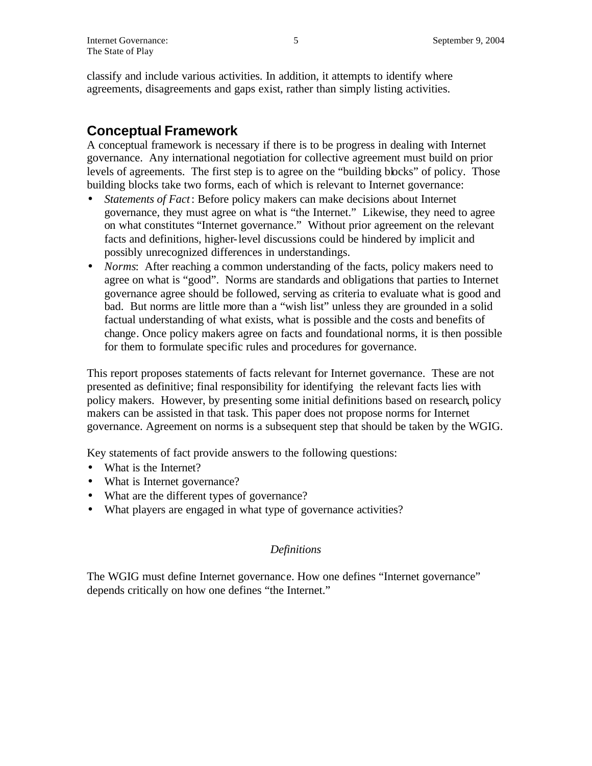classify and include various activities. In addition, it attempts to identify where agreements, disagreements and gaps exist, rather than simply listing activities.

## **Conceptual Framework**

A conceptual framework is necessary if there is to be progress in dealing with Internet governance. Any international negotiation for collective agreement must build on prior levels of agreements. The first step is to agree on the "building blocks" of policy. Those building blocks take two forms, each of which is relevant to Internet governance:

- *Statements of Fact*: Before policy makers can make decisions about Internet governance, they must agree on what is "the Internet." Likewise, they need to agree on what constitutes "Internet governance." Without prior agreement on the relevant facts and definitions, higher-level discussions could be hindered by implicit and possibly unrecognized differences in understandings.
- *Norms*: After reaching a common understanding of the facts, policy makers need to agree on what is "good". Norms are standards and obligations that parties to Internet governance agree should be followed, serving as criteria to evaluate what is good and bad. But norms are little more than a "wish list" unless they are grounded in a solid factual understanding of what exists, what is possible and the costs and benefits of change. Once policy makers agree on facts and foundational norms, it is then possible for them to formulate specific rules and procedures for governance.

This report proposes statements of facts relevant for Internet governance. These are not presented as definitive; final responsibility for identifying the relevant facts lies with policy makers. However, by presenting some initial definitions based on research, policy makers can be assisted in that task. This paper does not propose norms for Internet governance. Agreement on norms is a subsequent step that should be taken by the WGIG.

Key statements of fact provide answers to the following questions:

- What is the Internet?
- What is Internet governance?
- What are the different types of governance?
- What players are engaged in what type of governance activities?

#### *Definitions*

The WGIG must define Internet governance. How one defines "Internet governance" depends critically on how one defines "the Internet."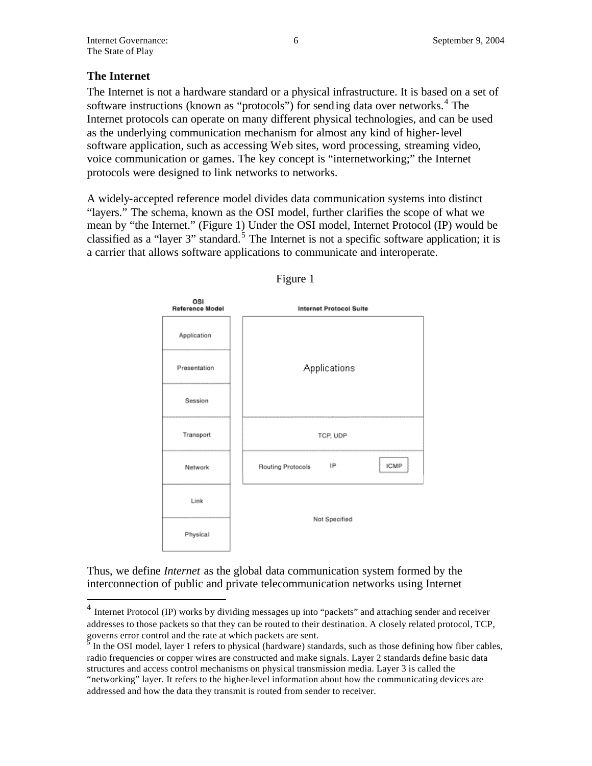## **The Internet**

 $\overline{a}$ 

The Internet is not a hardware standard or a physical infrastructure. It is based on a set of software instructions (known as "protocols") for sending data over networks.<sup>4</sup> The Internet protocols can operate on many different physical technologies, and can be used as the underlying communication mechanism for almost any kind of higher-level software application, such as accessing Web sites, word processing, streaming video, voice communication or games. The key concept is "internetworking;" the Internet protocols were designed to link networks to networks.

A widely-accepted reference model divides data communication systems into distinct "layers." The schema, known as the OSI model, further clarifies the scope of what we mean by "the Internet." (Figure 1) Under the OSI model, Internet Protocol (IP) would be classified as a "layer 3" standard.<sup>5</sup> The Internet is not a specific software application; it is a carrier that allows software applications to communicate and interoperate.





Thus, we define *Internet* as the global data communication system formed by the interconnection of public and private telecommunication networks using Internet

<sup>&</sup>lt;sup>4</sup> Internet Protocol (IP) works by dividing messages up into "packets" and attaching sender and receiver addresses to those packets so that they can be routed to their destination. A closely related protocol, TCP,

governs error control and the rate at which packets are sent.<br><sup>5</sup> In the OSI model, layer 1 refers to physical (hardware) standards, such as those defining how fiber cables, radio frequencies or copper wires are constructed and make signals. Layer 2 standards define basic data structures and access control mechanisms on physical transmission media. Layer 3 is called the "networking" layer. It refers to the higher-level information about how the communicating devices are addressed and how the data they transmit is routed from sender to receiver.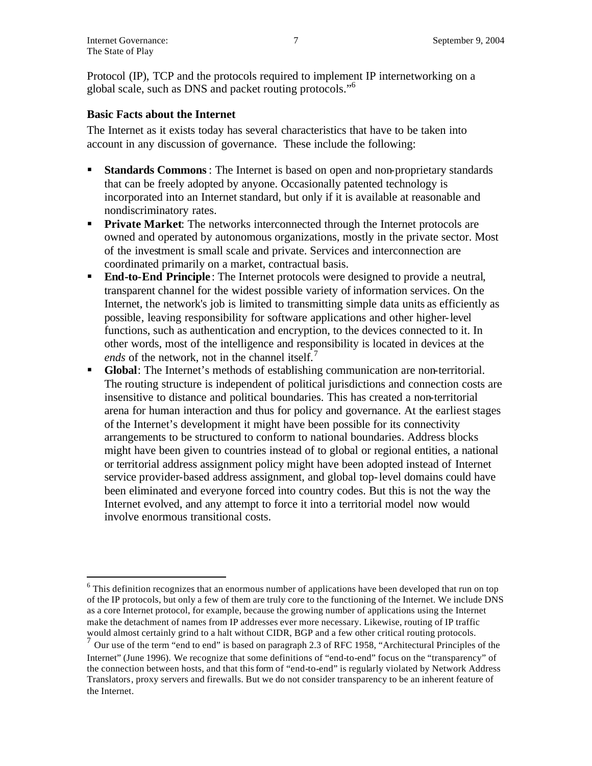$\overline{a}$ 

Protocol (IP), TCP and the protocols required to implement IP internetworking on a global scale, such as DNS and packet routing protocols."<sup>6</sup>

#### **Basic Facts about the Internet**

The Internet as it exists today has several characteristics that have to be taken into account in any discussion of governance. These include the following:

- ß **Standards Commons**: The Internet is based on open and non-proprietary standards that can be freely adopted by anyone. Occasionally patented technology is incorporated into an Internet standard, but only if it is available at reasonable and nondiscriminatory rates.
- **Private Market:** The networks interconnected through the Internet protocols are owned and operated by autonomous organizations, mostly in the private sector. Most of the investment is small scale and private. Services and interconnection are coordinated primarily on a market, contractual basis.
- **End-to-End Principle**: The Internet protocols were designed to provide a neutral, transparent channel for the widest possible variety of information services. On the Internet, the network's job is limited to transmitting simple data units as efficiently as possible, leaving responsibility for software applications and other higher-level functions, such as authentication and encryption, to the devices connected to it. In other words, most of the intelligence and responsibility is located in devices at the *ends* of the network, not in the channel itself.<sup>7</sup>
- ß **Global**: The Internet's methods of establishing communication are non-territorial. The routing structure is independent of political jurisdictions and connection costs are insensitive to distance and political boundaries. This has created a non-territorial arena for human interaction and thus for policy and governance. At the earliest stages of the Internet's development it might have been possible for its connectivity arrangements to be structured to conform to national boundaries. Address blocks might have been given to countries instead of to global or regional entities, a national or territorial address assignment policy might have been adopted instead of Internet service provider-based address assignment, and global top-level domains could have been eliminated and everyone forced into country codes. But this is not the way the Internet evolved, and any attempt to force it into a territorial model now would involve enormous transitional costs.

 $6$  This definition recognizes that an enormous number of applications have been developed that run on top of the IP protocols, but only a few of them are truly core to the functioning of the Internet. We include DNS as a core Internet protocol, for example, because the growing number of applications using the Internet make the detachment of names from IP addresses ever more necessary. Likewise, routing of IP traffic would almost certainly grind to a halt without CIDR, BGP and a few other critical routing protocols.

 $<sup>7</sup>$  Our use of the term "end to end" is based on paragraph 2.3 of RFC 1958, "Architectural Principles of the</sup> Internet" (June 1996). We recognize that some definitions of "end-to-end" focus on the "transparency" of the connection between hosts, and that this form of "end-to-end" is regularly violated by Network Address Translators, proxy servers and firewalls. But we do not consider transparency to be an inherent feature of the Internet.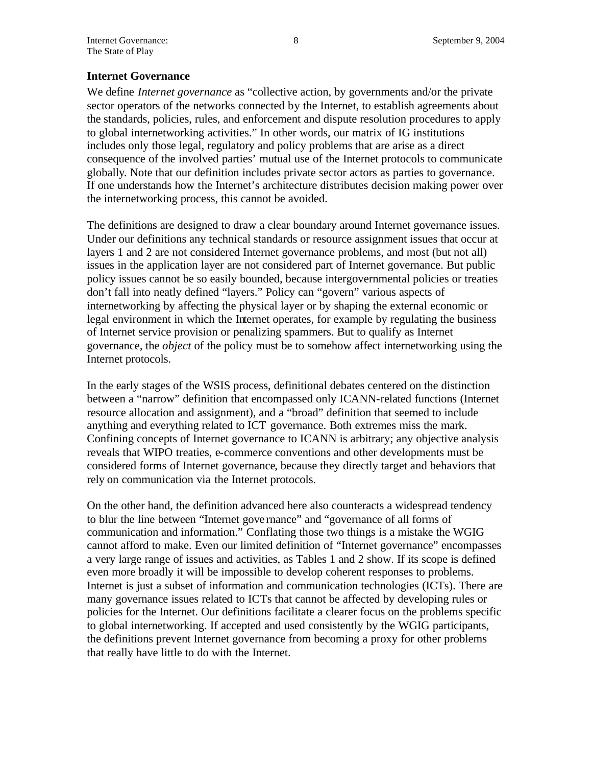### **Internet Governance**

We define *Internet governance* as "collective action, by governments and/or the private sector operators of the networks connected by the Internet, to establish agreements about the standards, policies, rules, and enforcement and dispute resolution procedures to apply to global internetworking activities." In other words, our matrix of IG institutions includes only those legal, regulatory and policy problems that are arise as a direct consequence of the involved parties' mutual use of the Internet protocols to communicate globally. Note that our definition includes private sector actors as parties to governance. If one understands how the Internet's architecture distributes decision making power over the internetworking process, this cannot be avoided.

The definitions are designed to draw a clear boundary around Internet governance issues. Under our definitions any technical standards or resource assignment issues that occur at layers 1 and 2 are not considered Internet governance problems, and most (but not all) issues in the application layer are not considered part of Internet governance. But public policy issues cannot be so easily bounded, because intergovernmental policies or treaties don't fall into neatly defined "layers." Policy can "govern" various aspects of internetworking by affecting the physical layer or by shaping the external economic or legal environment in which the Internet operates, for example by regulating the business of Internet service provision or penalizing spammers. But to qualify as Internet governance, the *object* of the policy must be to somehow affect internetworking using the Internet protocols.

In the early stages of the WSIS process, definitional debates centered on the distinction between a "narrow" definition that encompassed only ICANN-related functions (Internet resource allocation and assignment), and a "broad" definition that seemed to include anything and everything related to ICT governance. Both extremes miss the mark. Confining concepts of Internet governance to ICANN is arbitrary; any objective analysis reveals that WIPO treaties, e-commerce conventions and other developments must be considered forms of Internet governance, because they directly target and behaviors that rely on communication via the Internet protocols.

On the other hand, the definition advanced here also counteracts a widespread tendency to blur the line between "Internet gove rnance" and "governance of all forms of communication and information." Conflating those two things is a mistake the WGIG cannot afford to make. Even our limited definition of "Internet governance" encompasses a very large range of issues and activities, as Tables 1 and 2 show. If its scope is defined even more broadly it will be impossible to develop coherent responses to problems. Internet is just a subset of information and communication technologies (ICTs). There are many governance issues related to ICTs that cannot be affected by developing rules or policies for the Internet. Our definitions facilitate a clearer focus on the problems specific to global internetworking. If accepted and used consistently by the WGIG participants, the definitions prevent Internet governance from becoming a proxy for other problems that really have little to do with the Internet.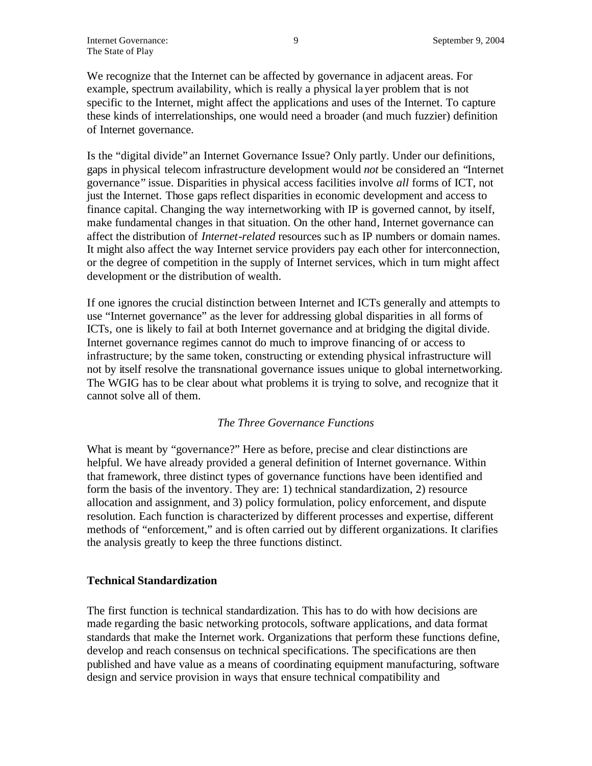We recognize that the Internet can be affected by governance in adjacent areas. For example, spectrum availability, which is really a physical layer problem that is not specific to the Internet, might affect the applications and uses of the Internet. To capture these kinds of interrelationships, one would need a broader (and much fuzzier) definition of Internet governance.

Is the "digital divide" an Internet Governance Issue? Only partly. Under our definitions, gaps in physical telecom infrastructure development would *not* be considered an "Internet governance" issue. Disparities in physical access facilities involve *all* forms of ICT, not just the Internet. Those gaps reflect disparities in economic development and access to finance capital. Changing the way internetworking with IP is governed cannot, by itself, make fundamental changes in that situation. On the other hand, Internet governance can affect the distribution of *Internet-related* resources such as IP numbers or domain names. It might also affect the way Internet service providers pay each other for interconnection, or the degree of competition in the supply of Internet services, which in turn might affect development or the distribution of wealth.

If one ignores the crucial distinction between Internet and ICTs generally and attempts to use "Internet governance" as the lever for addressing global disparities in all forms of ICTs, one is likely to fail at both Internet governance and at bridging the digital divide. Internet governance regimes cannot do much to improve financing of or access to infrastructure; by the same token, constructing or extending physical infrastructure will not by itself resolve the transnational governance issues unique to global internetworking. The WGIG has to be clear about what problems it is trying to solve, and recognize that it cannot solve all of them.

#### *The Three Governance Functions*

What is meant by "governance?" Here as before, precise and clear distinctions are helpful. We have already provided a general definition of Internet governance. Within that framework, three distinct types of governance functions have been identified and form the basis of the inventory. They are: 1) technical standardization, 2) resource allocation and assignment, and 3) policy formulation, policy enforcement, and dispute resolution. Each function is characterized by different processes and expertise, different methods of "enforcement," and is often carried out by different organizations. It clarifies the analysis greatly to keep the three functions distinct.

#### **Technical Standardization**

The first function is technical standardization. This has to do with how decisions are made regarding the basic networking protocols, software applications, and data format standards that make the Internet work. Organizations that perform these functions define, develop and reach consensus on technical specifications. The specifications are then published and have value as a means of coordinating equipment manufacturing, software design and service provision in ways that ensure technical compatibility and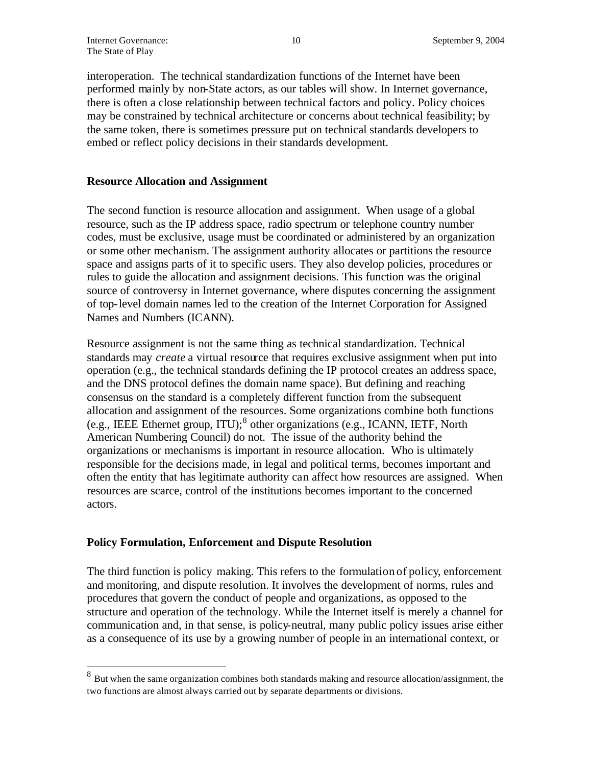interoperation. The technical standardization functions of the Internet have been performed mainly by non-State actors, as our tables will show. In Internet governance, there is often a close relationship between technical factors and policy. Policy choices may be constrained by technical architecture or concerns about technical feasibility; by the same token, there is sometimes pressure put on technical standards developers to embed or reflect policy decisions in their standards development.

#### **Resource Allocation and Assignment**

The second function is resource allocation and assignment. When usage of a global resource, such as the IP address space, radio spectrum or telephone country number codes, must be exclusive, usage must be coordinated or administered by an organization or some other mechanism. The assignment authority allocates or partitions the resource space and assigns parts of it to specific users. They also develop policies, procedures or rules to guide the allocation and assignment decisions. This function was the original source of controversy in Internet governance, where disputes concerning the assignment of top-level domain names led to the creation of the Internet Corporation for Assigned Names and Numbers (ICANN).

Resource assignment is not the same thing as technical standardization. Technical standards may *create* a virtual resource that requires exclusive assignment when put into operation (e.g., the technical standards defining the IP protocol creates an address space, and the DNS protocol defines the domain name space). But defining and reaching consensus on the standard is a completely different function from the subsequent allocation and assignment of the resources. Some organizations combine both functions (e.g., IEEE Ethernet group, ITU);<sup>8</sup> other organizations (e.g., ICANN, IETF, North American Numbering Council) do not. The issue of the authority behind the organizations or mechanisms is important in resource allocation. Who is ultimately responsible for the decisions made, in legal and political terms, becomes important and often the entity that has legitimate authority can affect how resources are assigned. When resources are scarce, control of the institutions becomes important to the concerned actors.

#### **Policy Formulation, Enforcement and Dispute Resolution**

The third function is policy making. This refers to the formulation of policy, enforcement and monitoring, and dispute resolution. It involves the development of norms, rules and procedures that govern the conduct of people and organizations, as opposed to the structure and operation of the technology. While the Internet itself is merely a channel for communication and, in that sense, is policy-neutral, many public policy issues arise either as a consequence of its use by a growing number of people in an international context, or

<sup>&</sup>lt;sup>8</sup> But when the same organization combines both standards making and resource allocation/assignment, the two functions are almost always carried out by separate departments or divisions.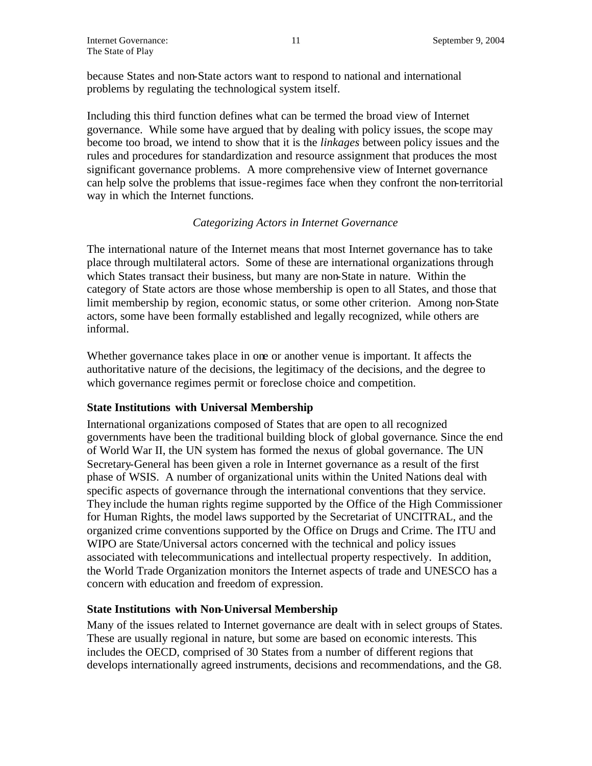because States and non-State actors want to respond to national and international problems by regulating the technological system itself.

Including this third function defines what can be termed the broad view of Internet governance. While some have argued that by dealing with policy issues, the scope may become too broad, we intend to show that it is the *linkages* between policy issues and the rules and procedures for standardization and resource assignment that produces the most significant governance problems. A more comprehensive view of Internet governance can help solve the problems that issue-regimes face when they confront the non-territorial way in which the Internet functions.

#### *Categorizing Actors in Internet Governance*

The international nature of the Internet means that most Internet governance has to take place through multilateral actors. Some of these are international organizations through which States transact their business, but many are non-State in nature. Within the category of State actors are those whose membership is open to all States, and those that limit membership by region, economic status, or some other criterion. Among non-State actors, some have been formally established and legally recognized, while others are informal.

Whether governance takes place in one or another venue is important. It affects the authoritative nature of the decisions, the legitimacy of the decisions, and the degree to which governance regimes permit or foreclose choice and competition.

#### **State Institutions with Universal Membership**

International organizations composed of States that are open to all recognized governments have been the traditional building block of global governance. Since the end of World War II, the UN system has formed the nexus of global governance. The UN Secretary-General has been given a role in Internet governance as a result of the first phase of WSIS. A number of organizational units within the United Nations deal with specific aspects of governance through the international conventions that they service. They include the human rights regime supported by the Office of the High Commissioner for Human Rights, the model laws supported by the Secretariat of UNCITRAL, and the organized crime conventions supported by the Office on Drugs and Crime. The ITU and WIPO are State/Universal actors concerned with the technical and policy issues associated with telecommunications and intellectual property respectively. In addition, the World Trade Organization monitors the Internet aspects of trade and UNESCO has a concern with education and freedom of expression.

## **State Institutions with Non-Universal Membership**

Many of the issues related to Internet governance are dealt with in select groups of States. These are usually regional in nature, but some are based on economic interests. This includes the OECD, comprised of 30 States from a number of different regions that develops internationally agreed instruments, decisions and recommendations, and the G8.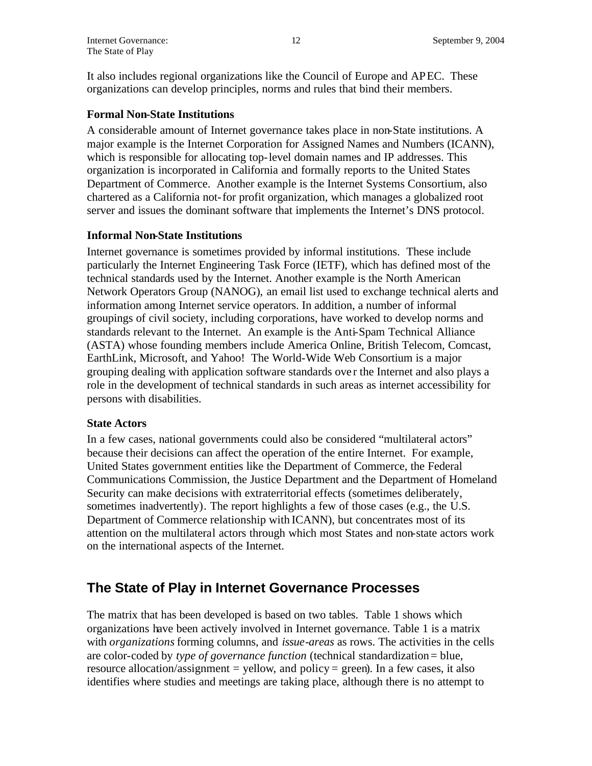It also includes regional organizations like the Council of Europe and APEC. These organizations can develop principles, norms and rules that bind their members.

### **Formal Non-State Institutions**

A considerable amount of Internet governance takes place in non-State institutions. A major example is the Internet Corporation for Assigned Names and Numbers (ICANN), which is responsible for allocating top-level domain names and IP addresses. This organization is incorporated in California and formally reports to the United States Department of Commerce. Another example is the Internet Systems Consortium, also chartered as a California not-for profit organization, which manages a globalized root server and issues the dominant software that implements the Internet's DNS protocol.

## **Informal Non-State Institutions**

Internet governance is sometimes provided by informal institutions. These include particularly the Internet Engineering Task Force (IETF), which has defined most of the technical standards used by the Internet. Another example is the North American Network Operators Group (NANOG), an email list used to exchange technical alerts and information among Internet service operators. In addition, a number of informal groupings of civil society, including corporations, have worked to develop norms and standards relevant to the Internet. An example is the Anti-Spam Technical Alliance (ASTA) whose founding members include America Online, British Telecom, Comcast, EarthLink, Microsoft, and Yahoo! The World-Wide Web Consortium is a major grouping dealing with application software standards ove r the Internet and also plays a role in the development of technical standards in such areas as internet accessibility for persons with disabilities.

#### **State Actors**

In a few cases, national governments could also be considered "multilateral actors" because their decisions can affect the operation of the entire Internet. For example, United States government entities like the Department of Commerce, the Federal Communications Commission, the Justice Department and the Department of Homeland Security can make decisions with extraterritorial effects (sometimes deliberately, sometimes inadvertently). The report highlights a few of those cases (e.g., the U.S. Department of Commerce relationship with ICANN), but concentrates most of its attention on the multilateral actors through which most States and non-state actors work on the international aspects of the Internet.

## **The State of Play in Internet Governance Processes**

The matrix that has been developed is based on two tables. Table 1 shows which organizations have been actively involved in Internet governance. Table 1 is a matrix with *organizations* forming columns, and *issue-areas* as rows. The activities in the cells are color-coded by *type of governance function* (technical standardization = blue, resource allocation/assignment = yellow, and policy = green). In a few cases, it also identifies where studies and meetings are taking place, although there is no attempt to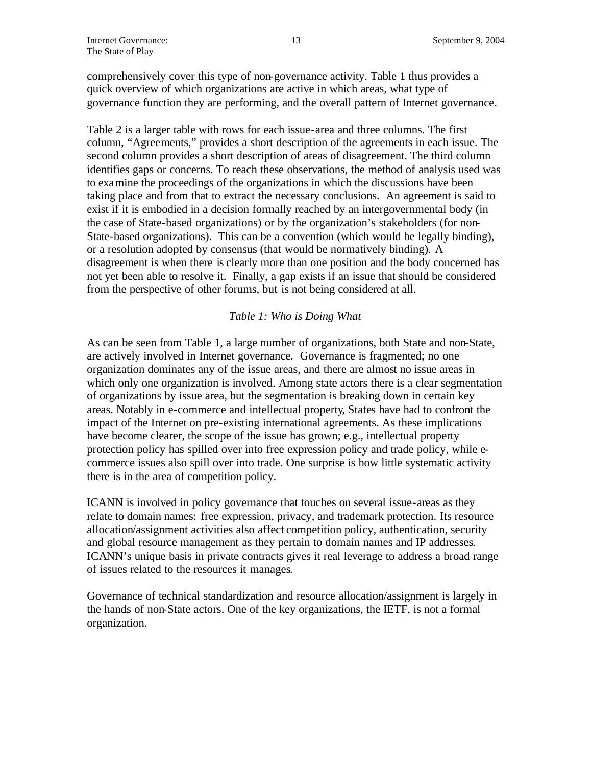comprehensively cover this type of non-governance activity. Table 1 thus provides a quick overview of which organizations are active in which areas, what type of governance function they are performing, and the overall pattern of Internet governance.

Table 2 is a larger table with rows for each issue-area and three columns. The first column, "Agreements," provides a short description of the agreements in each issue. The second column provides a short description of areas of disagreement. The third column identifies gaps or concerns. To reach these observations, the method of analysis used was to examine the proceedings of the organizations in which the discussions have been taking place and from that to extract the necessary conclusions. An agreement is said to exist if it is embodied in a decision formally reached by an intergovernmental body (in the case of State-based organizations) or by the organization's stakeholders (for non-State-based organizations). This can be a convention (which would be legally binding), or a resolution adopted by consensus (that would be normatively binding). A disagreement is when there is clearly more than one position and the body concerned has not yet been able to resolve it. Finally, a gap exists if an issue that should be considered from the perspective of other forums, but is not being considered at all.

## *Table 1: Who is Doing What*

As can be seen from Table 1, a large number of organizations, both State and non-State, are actively involved in Internet governance. Governance is fragmented; no one organization dominates any of the issue areas, and there are almost no issue areas in which only one organization is involved. Among state actors there is a clear segmentation of organizations by issue area, but the segmentation is breaking down in certain key areas. Notably in e-commerce and intellectual property, States have had to confront the impact of the Internet on pre-existing international agreements. As these implications have become clearer, the scope of the issue has grown; e.g., intellectual property protection policy has spilled over into free expression policy and trade policy, while ecommerce issues also spill over into trade. One surprise is how little systematic activity there is in the area of competition policy.

ICANN is involved in policy governance that touches on several issue-areas as they relate to domain names: free expression, privacy, and trademark protection. Its resource allocation/assignment activities also affect competition policy, authentication, security and global resource management as they pertain to domain names and IP addresses. ICANN's unique basis in private contracts gives it real leverage to address a broad range of issues related to the resources it manages.

Governance of technical standardization and resource allocation/assignment is largely in the hands of non-State actors. One of the key organizations, the IETF, is not a formal organization.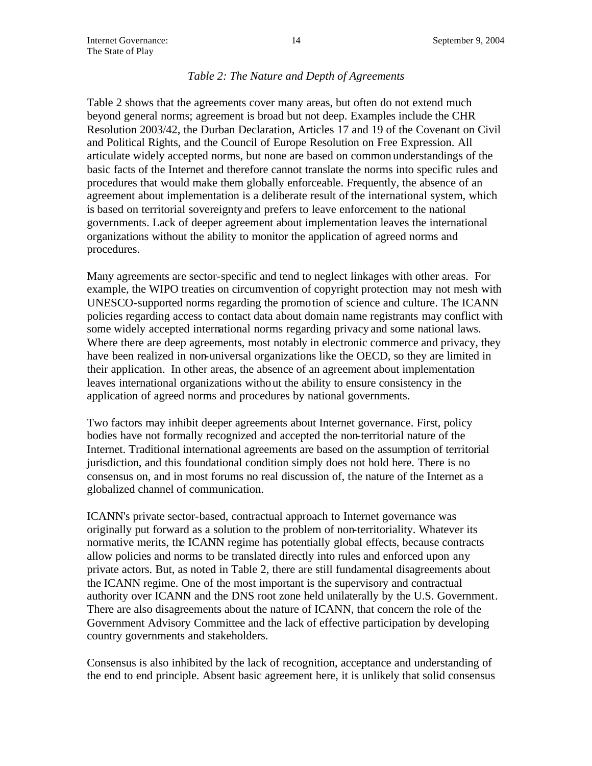#### *Table 2: The Nature and Depth of Agreements*

Table 2 shows that the agreements cover many areas, but often do not extend much beyond general norms; agreement is broad but not deep. Examples include the CHR Resolution 2003/42, the Durban Declaration, Articles 17 and 19 of the Covenant on Civil and Political Rights, and the Council of Europe Resolution on Free Expression. All articulate widely accepted norms, but none are based on common understandings of the basic facts of the Internet and therefore cannot translate the norms into specific rules and procedures that would make them globally enforceable. Frequently, the absence of an agreement about implementation is a deliberate result of the international system, which is based on territorial sovereignty and prefers to leave enforcement to the national governments. Lack of deeper agreement about implementation leaves the international organizations without the ability to monitor the application of agreed norms and procedures.

Many agreements are sector-specific and tend to neglect linkages with other areas. For example, the WIPO treaties on circumvention of copyright protection may not mesh with UNESCO-supported norms regarding the promotion of science and culture. The ICANN policies regarding access to contact data about domain name registrants may conflict with some widely accepted international norms regarding privacy and some national laws. Where there are deep agreements, most notably in electronic commerce and privacy, they have been realized in non-universal organizations like the OECD, so they are limited in their application. In other areas, the absence of an agreement about implementation leaves international organizations without the ability to ensure consistency in the application of agreed norms and procedures by national governments.

Two factors may inhibit deeper agreements about Internet governance. First, policy bodies have not formally recognized and accepted the non-territorial nature of the Internet. Traditional international agreements are based on the assumption of territorial jurisdiction, and this foundational condition simply does not hold here. There is no consensus on, and in most forums no real discussion of, the nature of the Internet as a globalized channel of communication.

ICANN's private sector-based, contractual approach to Internet governance was originally put forward as a solution to the problem of non-territoriality. Whatever its normative merits, the ICANN regime has potentially global effects, because contracts allow policies and norms to be translated directly into rules and enforced upon any private actors. But, as noted in Table 2, there are still fundamental disagreements about the ICANN regime. One of the most important is the supervisory and contractual authority over ICANN and the DNS root zone held unilaterally by the U.S. Government. There are also disagreements about the nature of ICANN, that concern the role of the Government Advisory Committee and the lack of effective participation by developing country governments and stakeholders.

Consensus is also inhibited by the lack of recognition, acceptance and understanding of the end to end principle. Absent basic agreement here, it is unlikely that solid consensus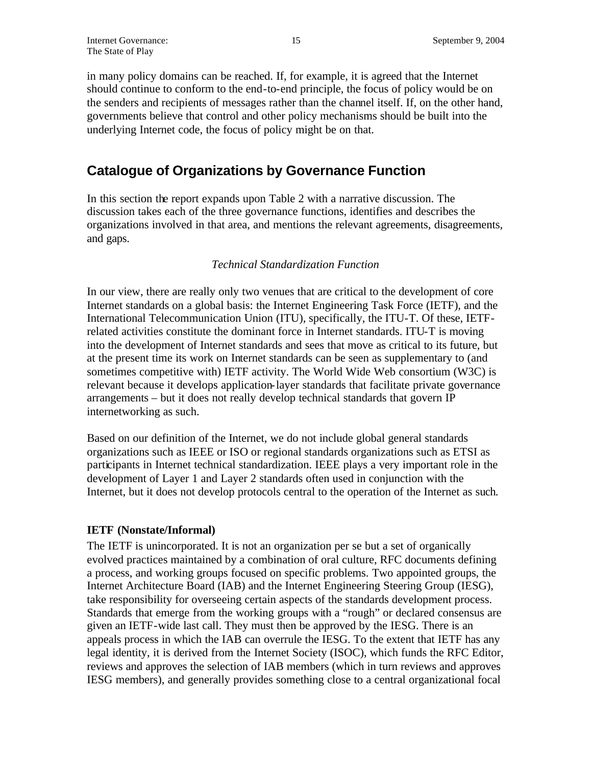in many policy domains can be reached. If, for example, it is agreed that the Internet should continue to conform to the end-to-end principle, the focus of policy would be on the senders and recipients of messages rather than the channel itself. If, on the other hand, governments believe that control and other policy mechanisms should be built into the underlying Internet code, the focus of policy might be on that.

## **Catalogue of Organizations by Governance Function**

In this section the report expands upon Table 2 with a narrative discussion. The discussion takes each of the three governance functions, identifies and describes the organizations involved in that area, and mentions the relevant agreements, disagreements, and gaps.

## *Technical Standardization Function*

In our view, there are really only two venues that are critical to the development of core Internet standards on a global basis: the Internet Engineering Task Force (IETF), and the International Telecommunication Union (ITU), specifically, the ITU-T. Of these, IETFrelated activities constitute the dominant force in Internet standards. ITU-T is moving into the development of Internet standards and sees that move as critical to its future, but at the present time its work on Internet standards can be seen as supplementary to (and sometimes competitive with) IETF activity. The World Wide Web consortium (W3C) is relevant because it develops application-layer standards that facilitate private governance arrangements – but it does not really develop technical standards that govern IP internetworking as such.

Based on our definition of the Internet, we do not include global general standards organizations such as IEEE or ISO or regional standards organizations such as ETSI as participants in Internet technical standardization. IEEE plays a very important role in the development of Layer 1 and Layer 2 standards often used in conjunction with the Internet, but it does not develop protocols central to the operation of the Internet as such.

## **IETF (Nonstate/Informal)**

The IETF is unincorporated. It is not an organization per se but a set of organically evolved practices maintained by a combination of oral culture, RFC documents defining a process, and working groups focused on specific problems. Two appointed groups, the Internet Architecture Board (IAB) and the Internet Engineering Steering Group (IESG), take responsibility for overseeing certain aspects of the standards development process. Standards that emerge from the working groups with a "rough" or declared consensus are given an IETF-wide last call. They must then be approved by the IESG. There is an appeals process in which the IAB can overrule the IESG. To the extent that IETF has any legal identity, it is derived from the Internet Society (ISOC), which funds the RFC Editor, reviews and approves the selection of IAB members (which in turn reviews and approves IESG members), and generally provides something close to a central organizational focal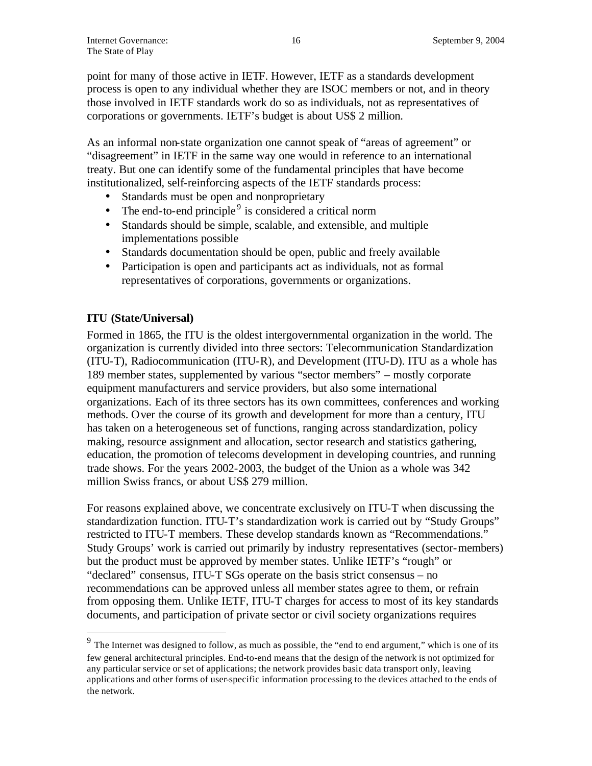point for many of those active in IETF. However, IETF as a standards development process is open to any individual whether they are ISOC members or not, and in theory those involved in IETF standards work do so as individuals, not as representatives of corporations or governments. IETF's budget is about US\$ 2 million.

As an informal non-state organization one cannot speak of "areas of agreement" or "disagreement" in IETF in the same way one would in reference to an international treaty. But one can identify some of the fundamental principles that have become institutionalized, self-reinforcing aspects of the IETF standards process:

- Standards must be open and nonproprietary
- The end-to-end principle<sup>9</sup> is considered a critical norm
- Standards should be simple, scalable, and extensible, and multiple implementations possible
- Standards documentation should be open, public and freely available
- Participation is open and participants act as individuals, not as formal representatives of corporations, governments or organizations.

## **ITU (State/Universal)**

 $\overline{a}$ 

Formed in 1865, the ITU is the oldest intergovernmental organization in the world. The organization is currently divided into three sectors: Telecommunication Standardization (ITU-T), Radiocommunication (ITU-R), and Development (ITU-D). ITU as a whole has 189 member states, supplemented by various "sector members" – mostly corporate equipment manufacturers and service providers, but also some international organizations. Each of its three sectors has its own committees, conferences and working methods. Over the course of its growth and development for more than a century, ITU has taken on a heterogeneous set of functions, ranging across standardization, policy making, resource assignment and allocation, sector research and statistics gathering, education, the promotion of telecoms development in developing countries, and running trade shows. For the years 2002-2003, the budget of the Union as a whole was 342 million Swiss francs, or about US\$ 279 million.

For reasons explained above, we concentrate exclusively on ITU-T when discussing the standardization function. ITU-T's standardization work is carried out by "Study Groups" restricted to ITU-T members. These develop standards known as "Recommendations." Study Groups' work is carried out primarily by industry representatives (sector-members) but the product must be approved by member states. Unlike IETF's "rough" or "declared" consensus, ITU-T SGs operate on the basis strict consensus – no recommendations can be approved unless all member states agree to them, or refrain from opposing them. Unlike IETF, ITU-T charges for access to most of its key standards documents, and participation of private sector or civil society organizations requires

 $9<sup>9</sup>$  The Internet was designed to follow, as much as possible, the "end to end argument," which is one of its few general architectural principles. End-to-end means that the design of the network is not optimized for any particular service or set of applications; the network provides basic data transport only, leaving applications and other forms of user-specific information processing to the devices attached to the ends of the network.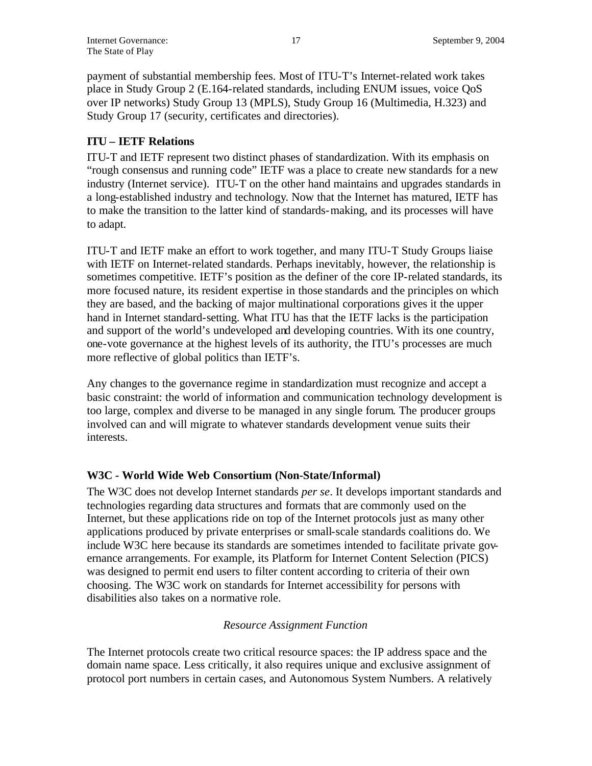payment of substantial membership fees. Most of ITU-T's Internet-related work takes place in Study Group 2 (E.164-related standards, including ENUM issues, voice QoS over IP networks) Study Group 13 (MPLS), Study Group 16 (Multimedia, H.323) and Study Group 17 (security, certificates and directories).

## **ITU – IETF Relations**

ITU-T and IETF represent two distinct phases of standardization. With its emphasis on "rough consensus and running code" IETF was a place to create new standards for a new industry (Internet service). ITU-T on the other hand maintains and upgrades standards in a long-established industry and technology. Now that the Internet has matured, IETF has to make the transition to the latter kind of standards-making, and its processes will have to adapt.

ITU-T and IETF make an effort to work together, and many ITU-T Study Groups liaise with IETF on Internet-related standards. Perhaps inevitably, however, the relationship is sometimes competitive. IETF's position as the definer of the core IP-related standards, its more focused nature, its resident expertise in those standards and the principles on which they are based, and the backing of major multinational corporations gives it the upper hand in Internet standard-setting. What ITU has that the IETF lacks is the participation and support of the world's undeveloped and developing countries. With its one country, one-vote governance at the highest levels of its authority, the ITU's processes are much more reflective of global politics than IETF's.

Any changes to the governance regime in standardization must recognize and accept a basic constraint: the world of information and communication technology development is too large, complex and diverse to be managed in any single forum. The producer groups involved can and will migrate to whatever standards development venue suits their interests.

## **W3C - World Wide Web Consortium (Non-State/Informal)**

The W3C does not develop Internet standards *per se*. It develops important standards and technologies regarding data structures and formats that are commonly used on the Internet, but these applications ride on top of the Internet protocols just as many other applications produced by private enterprises or small-scale standards coalitions do. We include W3C here because its standards are sometimes intended to facilitate private governance arrangements. For example, its Platform for Internet Content Selection (PICS) was designed to permit end users to filter content according to criteria of their own choosing. The W3C work on standards for Internet accessibility for persons with disabilities also takes on a normative role.

## *Resource Assignment Function*

The Internet protocols create two critical resource spaces: the IP address space and the domain name space. Less critically, it also requires unique and exclusive assignment of protocol port numbers in certain cases, and Autonomous System Numbers. A relatively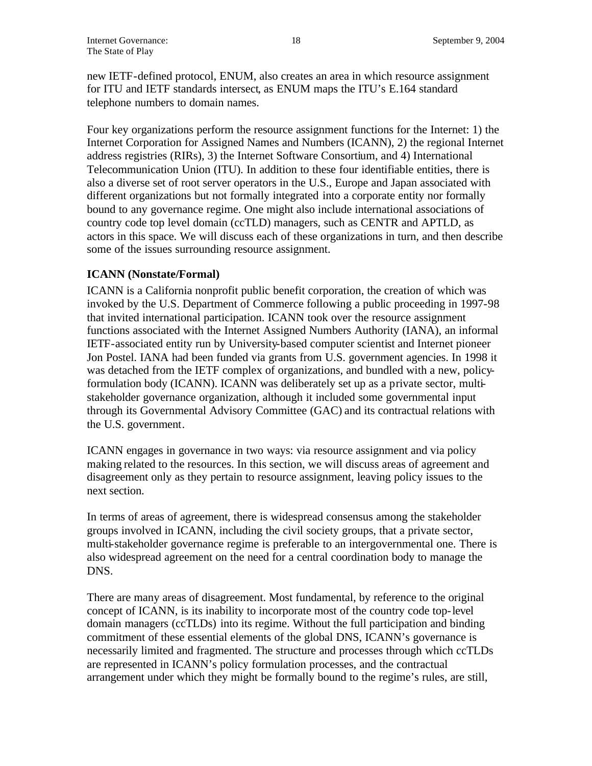new IETF-defined protocol, ENUM, also creates an area in which resource assignment for ITU and IETF standards intersect, as ENUM maps the ITU's E.164 standard telephone numbers to domain names.

Four key organizations perform the resource assignment functions for the Internet: 1) the Internet Corporation for Assigned Names and Numbers (ICANN), 2) the regional Internet address registries (RIRs), 3) the Internet Software Consortium, and 4) International Telecommunication Union (ITU). In addition to these four identifiable entities, there is also a diverse set of root server operators in the U.S., Europe and Japan associated with different organizations but not formally integrated into a corporate entity nor formally bound to any governance regime. One might also include international associations of country code top level domain (ccTLD) managers, such as CENTR and APTLD, as actors in this space. We will discuss each of these organizations in turn, and then describe some of the issues surrounding resource assignment.

## **ICANN (Nonstate/Formal)**

ICANN is a California nonprofit public benefit corporation, the creation of which was invoked by the U.S. Department of Commerce following a public proceeding in 1997-98 that invited international participation. ICANN took over the resource assignment functions associated with the Internet Assigned Numbers Authority (IANA), an informal IETF-associated entity run by University-based computer scientist and Internet pioneer Jon Postel. IANA had been funded via grants from U.S. government agencies. In 1998 it was detached from the IETF complex of organizations, and bundled with a new, policyformulation body (ICANN). ICANN was deliberately set up as a private sector, multistakeholder governance organization, although it included some governmental input through its Governmental Advisory Committee (GAC) and its contractual relations with the U.S. government.

ICANN engages in governance in two ways: via resource assignment and via policy making related to the resources. In this section, we will discuss areas of agreement and disagreement only as they pertain to resource assignment, leaving policy issues to the next section.

In terms of areas of agreement, there is widespread consensus among the stakeholder groups involved in ICANN, including the civil society groups, that a private sector, multi-stakeholder governance regime is preferable to an intergovernmental one. There is also widespread agreement on the need for a central coordination body to manage the DNS.

There are many areas of disagreement. Most fundamental, by reference to the original concept of ICANN, is its inability to incorporate most of the country code top-level domain managers (ccTLDs) into its regime. Without the full participation and binding commitment of these essential elements of the global DNS, ICANN's governance is necessarily limited and fragmented. The structure and processes through which ccTLDs are represented in ICANN's policy formulation processes, and the contractual arrangement under which they might be formally bound to the regime's rules, are still,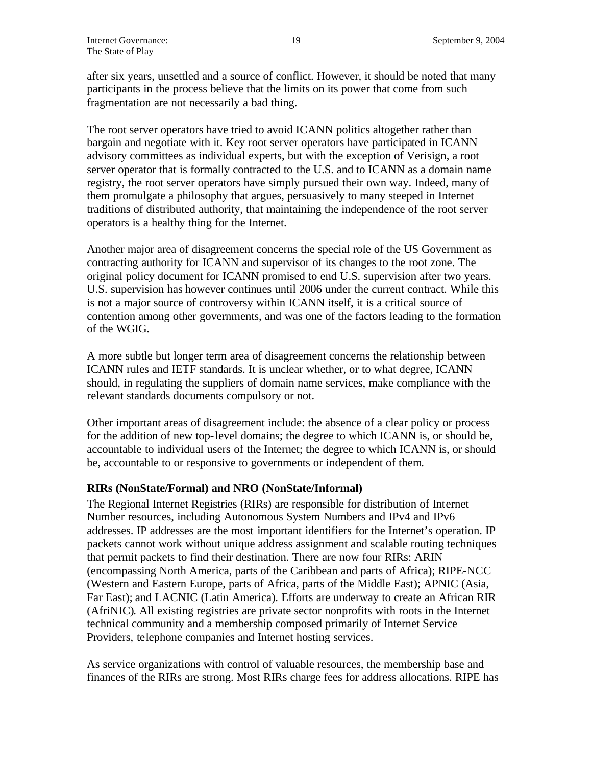after six years, unsettled and a source of conflict. However, it should be noted that many participants in the process believe that the limits on its power that come from such fragmentation are not necessarily a bad thing.

The root server operators have tried to avoid ICANN politics altogether rather than bargain and negotiate with it. Key root server operators have participated in ICANN advisory committees as individual experts, but with the exception of Verisign, a root server operator that is formally contracted to the U.S. and to ICANN as a domain name registry, the root server operators have simply pursued their own way. Indeed, many of them promulgate a philosophy that argues, persuasively to many steeped in Internet traditions of distributed authority, that maintaining the independence of the root server operators is a healthy thing for the Internet.

Another major area of disagreement concerns the special role of the US Government as contracting authority for ICANN and supervisor of its changes to the root zone. The original policy document for ICANN promised to end U.S. supervision after two years. U.S. supervision has however continues until 2006 under the current contract. While this is not a major source of controversy within ICANN itself, it is a critical source of contention among other governments, and was one of the factors leading to the formation of the WGIG.

A more subtle but longer term area of disagreement concerns the relationship between ICANN rules and IETF standards. It is unclear whether, or to what degree, ICANN should, in regulating the suppliers of domain name services, make compliance with the relevant standards documents compulsory or not.

Other important areas of disagreement include: the absence of a clear policy or process for the addition of new top-level domains; the degree to which ICANN is, or should be, accountable to individual users of the Internet; the degree to which ICANN is, or should be, accountable to or responsive to governments or independent of them.

#### **RIRs (NonState/Formal) and NRO (NonState/Informal)**

The Regional Internet Registries (RIRs) are responsible for distribution of Internet Number resources, including Autonomous System Numbers and IPv4 and IPv6 addresses. IP addresses are the most important identifiers for the Internet's operation. IP packets cannot work without unique address assignment and scalable routing techniques that permit packets to find their destination. There are now four RIRs: ARIN (encompassing North America, parts of the Caribbean and parts of Africa); RIPE-NCC (Western and Eastern Europe, parts of Africa, parts of the Middle East); APNIC (Asia, Far East); and LACNIC (Latin America). Efforts are underway to create an African RIR (AfriNIC). All existing registries are private sector nonprofits with roots in the Internet technical community and a membership composed primarily of Internet Service Providers, telephone companies and Internet hosting services.

As service organizations with control of valuable resources, the membership base and finances of the RIRs are strong. Most RIRs charge fees for address allocations. RIPE has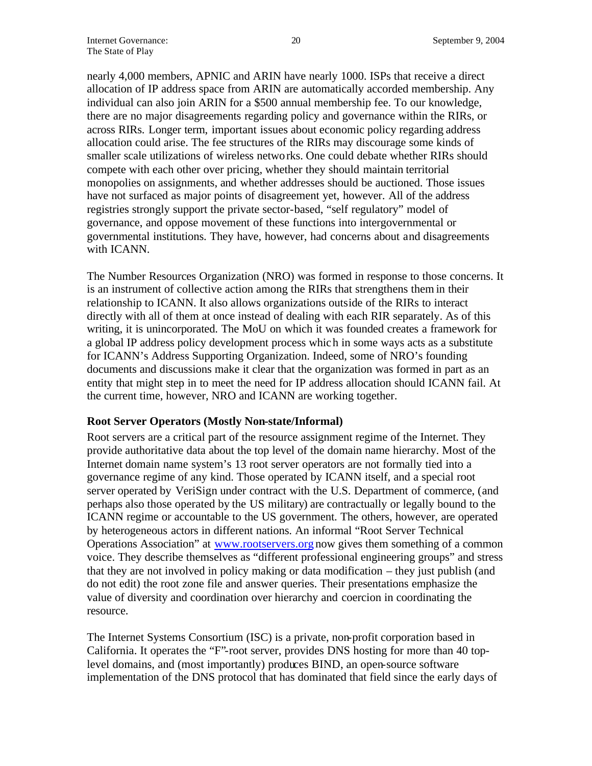nearly 4,000 members, APNIC and ARIN have nearly 1000. ISPs that receive a direct allocation of IP address space from ARIN are automatically accorded membership. Any individual can also join ARIN for a \$500 annual membership fee. To our knowledge, there are no major disagreements regarding policy and governance within the RIRs, or across RIRs. Longer term, important issues about economic policy regarding address allocation could arise. The fee structures of the RIRs may discourage some kinds of smaller scale utilizations of wireless networks. One could debate whether RIRs should compete with each other over pricing, whether they should maintain territorial monopolies on assignments, and whether addresses should be auctioned. Those issues have not surfaced as major points of disagreement yet, however. All of the address registries strongly support the private sector-based, "self regulatory" model of governance, and oppose movement of these functions into intergovernmental or governmental institutions. They have, however, had concerns about and disagreements with ICANN.

The Number Resources Organization (NRO) was formed in response to those concerns. It is an instrument of collective action among the RIRs that strengthens them in their relationship to ICANN. It also allows organizations outside of the RIRs to interact directly with all of them at once instead of dealing with each RIR separately. As of this writing, it is unincorporated. The MoU on which it was founded creates a framework for a global IP address policy development process which in some ways acts as a substitute for ICANN's Address Supporting Organization. Indeed, some of NRO's founding documents and discussions make it clear that the organization was formed in part as an entity that might step in to meet the need for IP address allocation should ICANN fail. At the current time, however, NRO and ICANN are working together.

#### **Root Server Operators (Mostly Non-state/Informal)**

Root servers are a critical part of the resource assignment regime of the Internet. They provide authoritative data about the top level of the domain name hierarchy. Most of the Internet domain name system's 13 root server operators are not formally tied into a governance regime of any kind. Those operated by ICANN itself, and a special root server operated by VeriSign under contract with the U.S. Department of commerce, (and perhaps also those operated by the US military) are contractually or legally bound to the ICANN regime or accountable to the US government. The others, however, are operated by heterogeneous actors in different nations. An informal "Root Server Technical Operations Association" at www.rootservers.org now gives them something of a common voice. They describe themselves as "different professional engineering groups" and stress that they are not involved in policy making or data modification – they just publish (and do not edit) the root zone file and answer queries. Their presentations emphasize the value of diversity and coordination over hierarchy and coercion in coordinating the resource.

The Internet Systems Consortium (ISC) is a private, non-profit corporation based in California. It operates the "F"-root server, provides DNS hosting for more than 40 toplevel domains, and (most importantly) produces BIND, an open-source software implementation of the DNS protocol that has dominated that field since the early days of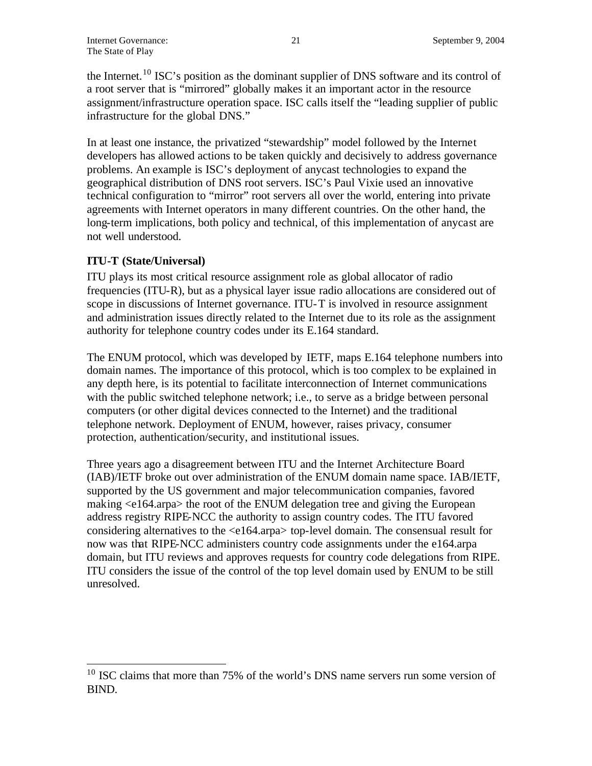the Internet.<sup>10</sup> ISC's position as the dominant supplier of DNS software and its control of a root server that is "mirrored" globally makes it an important actor in the resource assignment/infrastructure operation space. ISC calls itself the "leading supplier of public infrastructure for the global DNS."

In at least one instance, the privatized "stewardship" model followed by the Internet developers has allowed actions to be taken quickly and decisively to address governance problems. An example is ISC's deployment of anycast technologies to expand the geographical distribution of DNS root servers. ISC's Paul Vixie used an innovative technical configuration to "mirror" root servers all over the world, entering into private agreements with Internet operators in many different countries. On the other hand, the long-term implications, both policy and technical, of this implementation of anycast are not well understood.

## **ITU-T (State/Universal)**

 $\overline{a}$ 

ITU plays its most critical resource assignment role as global allocator of radio frequencies (ITU-R), but as a physical layer issue radio allocations are considered out of scope in discussions of Internet governance. ITU-T is involved in resource assignment and administration issues directly related to the Internet due to its role as the assignment authority for telephone country codes under its E.164 standard.

The ENUM protocol, which was developed by IETF, maps E.164 telephone numbers into domain names. The importance of this protocol, which is too complex to be explained in any depth here, is its potential to facilitate interconnection of Internet communications with the public switched telephone network; i.e., to serve as a bridge between personal computers (or other digital devices connected to the Internet) and the traditional telephone network. Deployment of ENUM, however, raises privacy, consumer protection, authentication/security, and institutional issues.

Three years ago a disagreement between ITU and the Internet Architecture Board (IAB)/IETF broke out over administration of the ENUM domain name space. IAB/IETF, supported by the US government and major telecommunication companies, favored making <e164.arpa> the root of the ENUM delegation tree and giving the European address registry RIPE-NCC the authority to assign country codes. The ITU favored considering alternatives to the <e164.arpa> top-level domain. The consensual result for now was that RIPE-NCC administers country code assignments under the e164.arpa domain, but ITU reviews and approves requests for country code delegations from RIPE. ITU considers the issue of the control of the top level domain used by ENUM to be still unresolved.

 $10$  ISC claims that more than 75% of the world's DNS name servers run some version of BIND.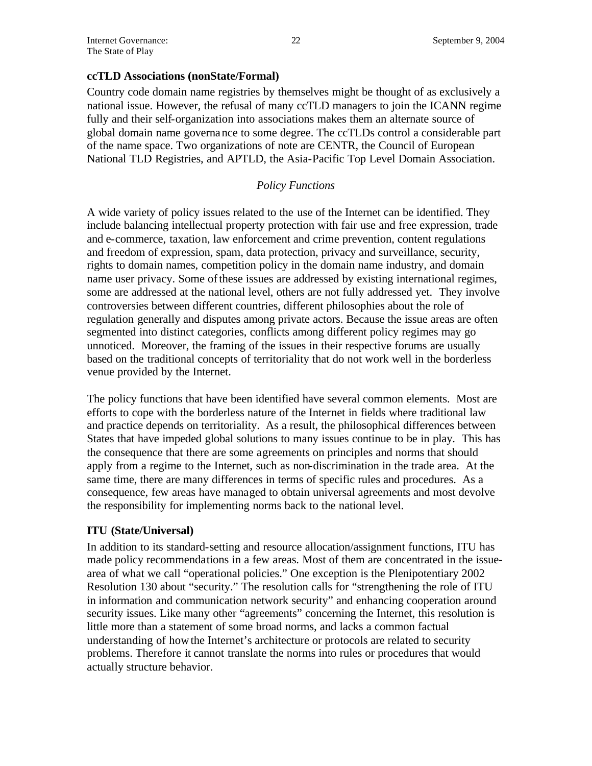#### **ccTLD Associations (nonState/Formal)**

Country code domain name registries by themselves might be thought of as exclusively a national issue. However, the refusal of many ccTLD managers to join the ICANN regime fully and their self-organization into associations makes them an alternate source of global domain name governance to some degree. The ccTLDs control a considerable part of the name space. Two organizations of note are CENTR, the Council of European National TLD Registries, and APTLD, the Asia-Pacific Top Level Domain Association.

### *Policy Functions*

A wide variety of policy issues related to the use of the Internet can be identified. They include balancing intellectual property protection with fair use and free expression, trade and e-commerce, taxation, law enforcement and crime prevention, content regulations and freedom of expression, spam, data protection, privacy and surveillance, security, rights to domain names, competition policy in the domain name industry, and domain name user privacy. Some of these issues are addressed by existing international regimes, some are addressed at the national level, others are not fully addressed yet. They involve controversies between different countries, different philosophies about the role of regulation generally and disputes among private actors. Because the issue areas are often segmented into distinct categories, conflicts among different policy regimes may go unnoticed. Moreover, the framing of the issues in their respective forums are usually based on the traditional concepts of territoriality that do not work well in the borderless venue provided by the Internet.

The policy functions that have been identified have several common elements. Most are efforts to cope with the borderless nature of the Internet in fields where traditional law and practice depends on territoriality. As a result, the philosophical differences between States that have impeded global solutions to many issues continue to be in play. This has the consequence that there are some agreements on principles and norms that should apply from a regime to the Internet, such as non-discrimination in the trade area. At the same time, there are many differences in terms of specific rules and procedures. As a consequence, few areas have managed to obtain universal agreements and most devolve the responsibility for implementing norms back to the national level.

#### **ITU (State/Universal)**

In addition to its standard-setting and resource allocation/assignment functions, ITU has made policy recommendations in a few areas. Most of them are concentrated in the issuearea of what we call "operational policies." One exception is the Plenipotentiary 2002 Resolution 130 about "security." The resolution calls for "strengthening the role of ITU in information and communication network security" and enhancing cooperation around security issues. Like many other "agreements" concerning the Internet, this resolution is little more than a statement of some broad norms, and lacks a common factual understanding of how the Internet's architecture or protocols are related to security problems. Therefore it cannot translate the norms into rules or procedures that would actually structure behavior.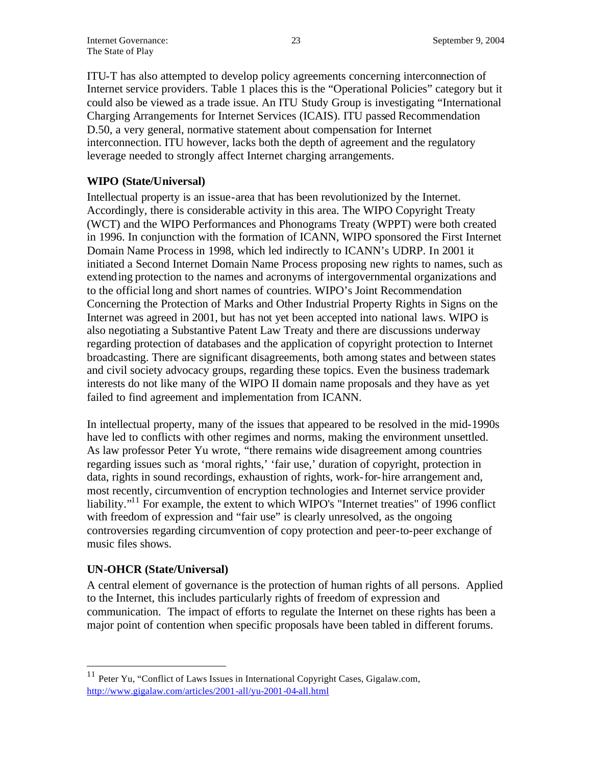ITU-T has also attempted to develop policy agreements concerning interconnection of Internet service providers. Table 1 places this is the "Operational Policies" category but it could also be viewed as a trade issue. An ITU Study Group is investigating "International Charging Arrangements for Internet Services (ICAIS). ITU passed Recommendation D.50, a very general, normative statement about compensation for Internet interconnection. ITU however, lacks both the depth of agreement and the regulatory leverage needed to strongly affect Internet charging arrangements.

## **WIPO (State/Universal)**

Intellectual property is an issue-area that has been revolutionized by the Internet. Accordingly, there is considerable activity in this area. The WIPO Copyright Treaty (WCT) and the WIPO Performances and Phonograms Treaty (WPPT) were both created in 1996. In conjunction with the formation of ICANN, WIPO sponsored the First Internet Domain Name Process in 1998, which led indirectly to ICANN's UDRP. In 2001 it initiated a Second Internet Domain Name Process proposing new rights to names, such as extending protection to the names and acronyms of intergovernmental organizations and to the official long and short names of countries. WIPO's Joint Recommendation Concerning the Protection of Marks and Other Industrial Property Rights in Signs on the Internet was agreed in 2001, but has not yet been accepted into national laws. WIPO is also negotiating a Substantive Patent Law Treaty and there are discussions underway regarding protection of databases and the application of copyright protection to Internet broadcasting. There are significant disagreements, both among states and between states and civil society advocacy groups, regarding these topics. Even the business trademark interests do not like many of the WIPO II domain name proposals and they have as yet failed to find agreement and implementation from ICANN.

In intellectual property, many of the issues that appeared to be resolved in the mid-1990s have led to conflicts with other regimes and norms, making the environment unsettled. As law professor Peter Yu wrote, "there remains wide disagreement among countries regarding issues such as 'moral rights,' 'fair use,' duration of copyright, protection in data, rights in sound recordings, exhaustion of rights, work-for-hire arrangement and, most recently, circumvention of encryption technologies and Internet service provider liability."<sup>11</sup> For example, the extent to which WIPO's "Internet treaties" of 1996 conflict with freedom of expression and "fair use" is clearly unresolved, as the ongoing controversies regarding circumvention of copy protection and peer-to-peer exchange of music files shows.

## **UN-OHCR (State/Universal)**

 $\overline{a}$ 

A central element of governance is the protection of human rights of all persons. Applied to the Internet, this includes particularly rights of freedom of expression and communication. The impact of efforts to regulate the Internet on these rights has been a major point of contention when specific proposals have been tabled in different forums.

 $11$  Peter Yu, "Conflict of Laws Issues in International Copyright Cases, Gigalaw.com, http://www.gigalaw.com/articles/2001-all/yu-2001-04-all.html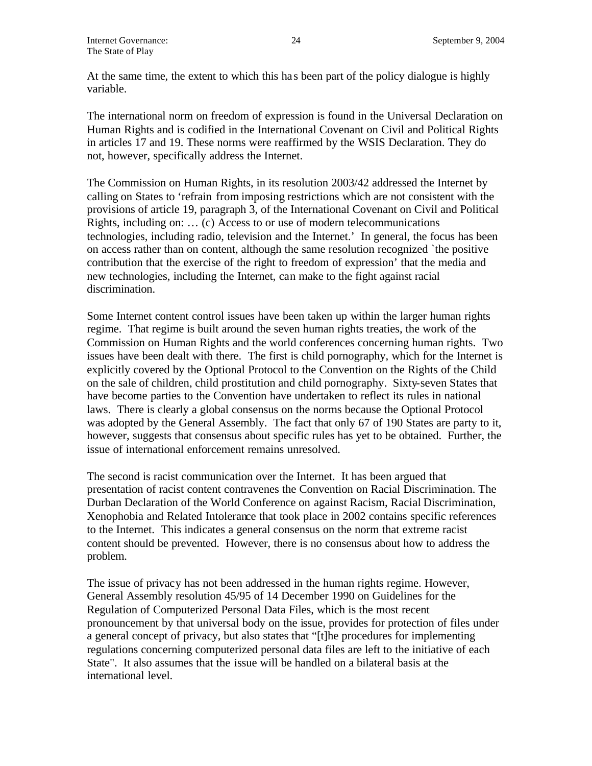At the same time, the extent to which this ha s been part of the policy dialogue is highly variable.

The international norm on freedom of expression is found in the Universal Declaration on Human Rights and is codified in the International Covenant on Civil and Political Rights in articles 17 and 19. These norms were reaffirmed by the WSIS Declaration. They do not, however, specifically address the Internet.

The Commission on Human Rights, in its resolution 2003/42 addressed the Internet by calling on States to 'refrain from imposing restrictions which are not consistent with the provisions of article 19, paragraph 3, of the International Covenant on Civil and Political Rights, including on: … (c) Access to or use of modern telecommunications technologies, including radio, television and the Internet.' In general, the focus has been on access rather than on content, although the same resolution recognized `the positive contribution that the exercise of the right to freedom of expression' that the media and new technologies, including the Internet, can make to the fight against racial discrimination.

Some Internet content control issues have been taken up within the larger human rights regime. That regime is built around the seven human rights treaties, the work of the Commission on Human Rights and the world conferences concerning human rights. Two issues have been dealt with there. The first is child pornography, which for the Internet is explicitly covered by the Optional Protocol to the Convention on the Rights of the Child on the sale of children, child prostitution and child pornography. Sixty-seven States that have become parties to the Convention have undertaken to reflect its rules in national laws. There is clearly a global consensus on the norms because the Optional Protocol was adopted by the General Assembly. The fact that only 67 of 190 States are party to it, however, suggests that consensus about specific rules has yet to be obtained. Further, the issue of international enforcement remains unresolved.

The second is racist communication over the Internet. It has been argued that presentation of racist content contravenes the Convention on Racial Discrimination. The Durban Declaration of the World Conference on against Racism, Racial Discrimination, Xenophobia and Related Intolerance that took place in 2002 contains specific references to the Internet. This indicates a general consensus on the norm that extreme racist content should be prevented. However, there is no consensus about how to address the problem.

The issue of privacy has not been addressed in the human rights regime. However, General Assembly resolution 45/95 of 14 December 1990 on Guidelines for the Regulation of Computerized Personal Data Files, which is the most recent pronouncement by that universal body on the issue, provides for protection of files under a general concept of privacy, but also states that "[t]he procedures for implementing regulations concerning computerized personal data files are left to the initiative of each State". It also assumes that the issue will be handled on a bilateral basis at the international level.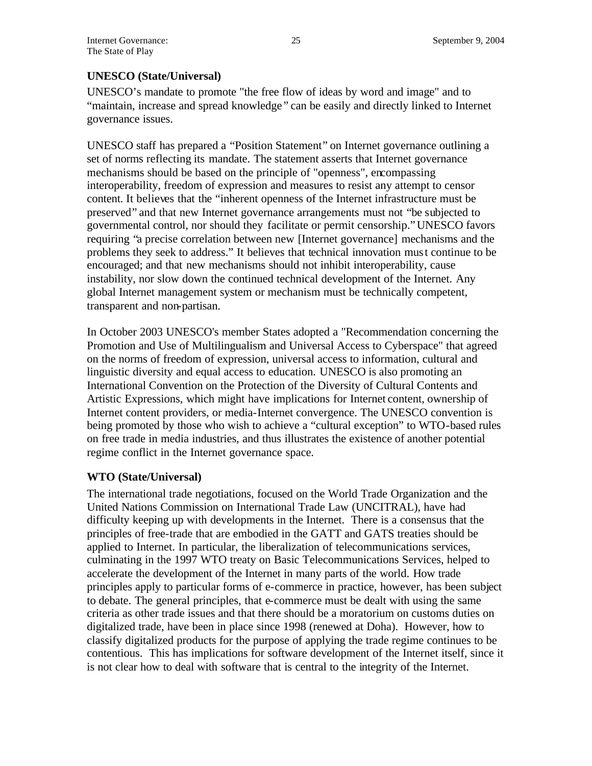## **UNESCO (State/Universal)**

UNESCO's mandate to promote "the free flow of ideas by word and image" and to "maintain, increase and spread knowledge " can be easily and directly linked to Internet governance issues.

UNESCO staff has prepared a "Position Statement" on Internet governance outlining a set of norms reflecting its mandate. The statement asserts that Internet governance mechanisms should be based on the principle of "openness", encompassing interoperability, freedom of expression and measures to resist any attempt to censor content. It believes that the "inherent openness of the Internet infrastructure must be preserved" and that new Internet governance arrangements must not "be subjected to governmental control, nor should they facilitate or permit censorship."UNESCO favors requiring "a precise correlation between new [Internet governance] mechanisms and the problems they seek to address." It believes that technical innovation must continue to be encouraged; and that new mechanisms should not inhibit interoperability, cause instability, nor slow down the continued technical development of the Internet. Any global Internet management system or mechanism must be technically competent, transparent and non-partisan.

In October 2003 UNESCO's member States adopted a "Recommendation concerning the Promotion and Use of Multilingualism and Universal Access to Cyberspace" that agreed on the norms of freedom of expression, universal access to information, cultural and linguistic diversity and equal access to education. UNESCO is also promoting an International Convention on the Protection of the Diversity of Cultural Contents and Artistic Expressions, which might have implications for Internet content, ownership of Internet content providers, or media-Internet convergence. The UNESCO convention is being promoted by those who wish to achieve a "cultural exception" to WTO-based rules on free trade in media industries, and thus illustrates the existence of another potential regime conflict in the Internet governance space.

#### **WTO (State/Universal)**

The international trade negotiations, focused on the World Trade Organization and the United Nations Commission on International Trade Law (UNCITRAL), have had difficulty keeping up with developments in the Internet. There is a consensus that the principles of free-trade that are embodied in the GATT and GATS treaties should be applied to Internet. In particular, the liberalization of telecommunications services, culminating in the 1997 WTO treaty on Basic Telecommunications Services, helped to accelerate the development of the Internet in many parts of the world. How trade principles apply to particular forms of e-commerce in practice, however, has been subject to debate. The general principles, that e-commerce must be dealt with using the same criteria as other trade issues and that there should be a moratorium on customs duties on digitalized trade, have been in place since 1998 (renewed at Doha). However, how to classify digitalized products for the purpose of applying the trade regime continues to be contentious. This has implications for software development of the Internet itself, since it is not clear how to deal with software that is central to the integrity of the Internet.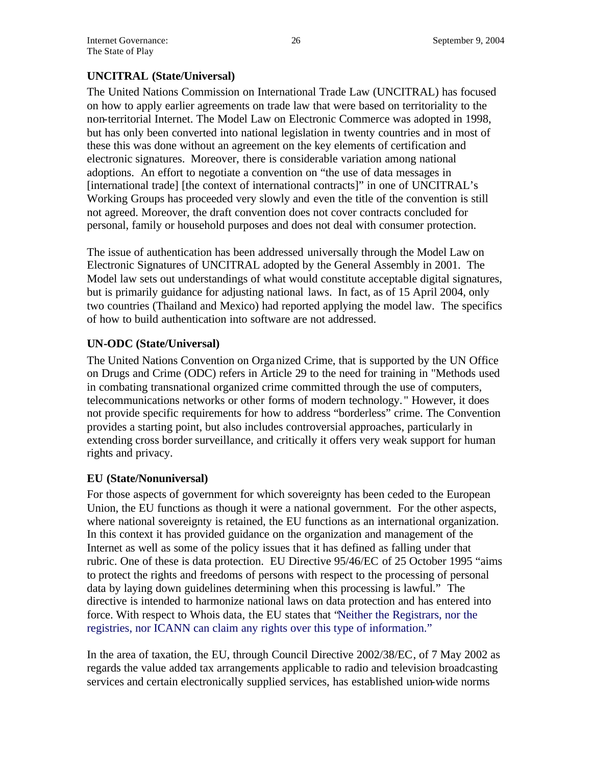## **UNCITRAL (State/Universal)**

The United Nations Commission on International Trade Law (UNCITRAL) has focused on how to apply earlier agreements on trade law that were based on territoriality to the non-territorial Internet. The Model Law on Electronic Commerce was adopted in 1998, but has only been converted into national legislation in twenty countries and in most of these this was done without an agreement on the key elements of certification and electronic signatures. Moreover, there is considerable variation among national adoptions. An effort to negotiate a convention on "the use of data messages in [international trade] [the context of international contracts]" in one of UNCITRAL's Working Groups has proceeded very slowly and even the title of the convention is still not agreed. Moreover, the draft convention does not cover contracts concluded for personal, family or household purposes and does not deal with consumer protection.

The issue of authentication has been addressed universally through the Model Law on Electronic Signatures of UNCITRAL adopted by the General Assembly in 2001. The Model law sets out understandings of what would constitute acceptable digital signatures, but is primarily guidance for adjusting national laws. In fact, as of 15 April 2004, only two countries (Thailand and Mexico) had reported applying the model law. The specifics of how to build authentication into software are not addressed.

## **UN-ODC (State/Universal)**

The United Nations Convention on Organized Crime, that is supported by the UN Office on Drugs and Crime (ODC) refers in Article 29 to the need for training in "Methods used in combating transnational organized crime committed through the use of computers, telecommunications networks or other forms of modern technology. " However, it does not provide specific requirements for how to address "borderless" crime. The Convention provides a starting point, but also includes controversial approaches, particularly in extending cross border surveillance, and critically it offers very weak support for human rights and privacy.

## **EU (State/Nonuniversal)**

For those aspects of government for which sovereignty has been ceded to the European Union, the EU functions as though it were a national government. For the other aspects, where national sovereignty is retained, the EU functions as an international organization. In this context it has provided guidance on the organization and management of the Internet as well as some of the policy issues that it has defined as falling under that rubric. One of these is data protection. EU Directive 95/46/EC of 25 October 1995 "aims to protect the rights and freedoms of persons with respect to the processing of personal data by laying down guidelines determining when this processing is lawful." The directive is intended to harmonize national laws on data protection and has entered into force. With respect to Whois data, the EU states that "Neither the Registrars, nor the registries, nor ICANN can claim any rights over this type of information."

In the area of taxation, the EU, through Council Directive 2002/38/EC, of 7 May 2002 as regards the value added tax arrangements applicable to radio and television broadcasting services and certain electronically supplied services, has established union-wide norms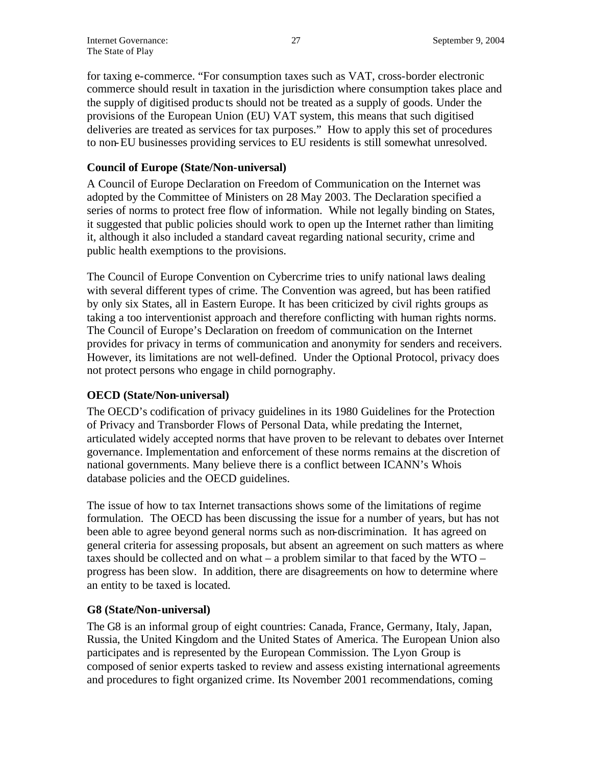for taxing e-commerce. "For consumption taxes such as VAT, cross-border electronic commerce should result in taxation in the jurisdiction where consumption takes place and the supply of digitised produc ts should not be treated as a supply of goods. Under the provisions of the European Union (EU) VAT system, this means that such digitised deliveries are treated as services for tax purposes." How to apply this set of procedures to non-EU businesses providing services to EU residents is still somewhat unresolved.

## **Council of Europe (State/Non-universal)**

A Council of Europe Declaration on Freedom of Communication on the Internet was adopted by the Committee of Ministers on 28 May 2003. The Declaration specified a series of norms to protect free flow of information. While not legally binding on States, it suggested that public policies should work to open up the Internet rather than limiting it, although it also included a standard caveat regarding national security, crime and public health exemptions to the provisions.

The Council of Europe Convention on Cybercrime tries to unify national laws dealing with several different types of crime. The Convention was agreed, but has been ratified by only six States, all in Eastern Europe. It has been criticized by civil rights groups as taking a too interventionist approach and therefore conflicting with human rights norms. The Council of Europe's Declaration on freedom of communication on the Internet provides for privacy in terms of communication and anonymity for senders and receivers. However, its limitations are not well-defined. Under the Optional Protocol, privacy does not protect persons who engage in child pornography.

#### **OECD (State/Non-universal)**

The OECD's codification of privacy guidelines in its 1980 Guidelines for the Protection of Privacy and Transborder Flows of Personal Data, while predating the Internet, articulated widely accepted norms that have proven to be relevant to debates over Internet governance. Implementation and enforcement of these norms remains at the discretion of national governments. Many believe there is a conflict between ICANN's Whois database policies and the OECD guidelines.

The issue of how to tax Internet transactions shows some of the limitations of regime formulation. The OECD has been discussing the issue for a number of years, but has not been able to agree beyond general norms such as non-discrimination. It has agreed on general criteria for assessing proposals, but absent an agreement on such matters as where taxes should be collected and on what – a problem similar to that faced by the WTO – progress has been slow. In addition, there are disagreements on how to determine where an entity to be taxed is located.

## **G8 (State/Non-universal)**

The G8 is an informal group of eight countries: Canada, France, Germany, Italy, Japan, Russia, the United Kingdom and the United States of America. The European Union also participates and is represented by the European Commission. The Lyon Group is composed of senior experts tasked to review and assess existing international agreements and procedures to fight organized crime. Its November 2001 recommendations, coming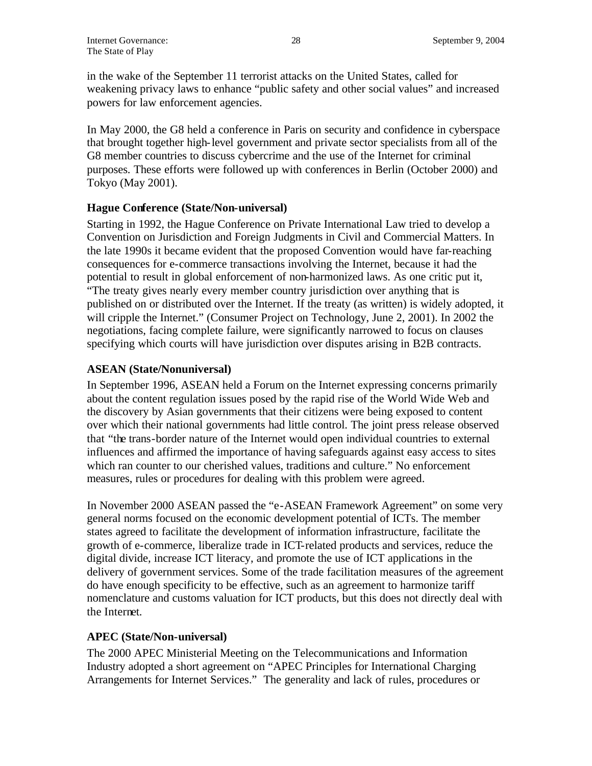in the wake of the September 11 terrorist attacks on the United States, called for weakening privacy laws to enhance "public safety and other social values" and increased powers for law enforcement agencies.

In May 2000, the G8 held a conference in Paris on security and confidence in cyberspace that brought together high-level government and private sector specialists from all of the G8 member countries to discuss cybercrime and the use of the Internet for criminal purposes. These efforts were followed up with conferences in Berlin (October 2000) and Tokyo (May 2001).

#### **Hague Conference (State/Non-universal)**

Starting in 1992, the Hague Conference on Private International Law tried to develop a Convention on Jurisdiction and Foreign Judgments in Civil and Commercial Matters. In the late 1990s it became evident that the proposed Convention would have far-reaching consequences for e-commerce transactions involving the Internet, because it had the potential to result in global enforcement of non-harmonized laws. As one critic put it, "The treaty gives nearly every member country jurisdiction over anything that is published on or distributed over the Internet. If the treaty (as written) is widely adopted, it will cripple the Internet." (Consumer Project on Technology, June 2, 2001). In 2002 the negotiations, facing complete failure, were significantly narrowed to focus on clauses specifying which courts will have jurisdiction over disputes arising in B2B contracts.

## **ASEAN (State/Nonuniversal)**

In September 1996, ASEAN held a Forum on the Internet expressing concerns primarily about the content regulation issues posed by the rapid rise of the World Wide Web and the discovery by Asian governments that their citizens were being exposed to content over which their national governments had little control. The joint press release observed that "the trans-border nature of the Internet would open individual countries to external influences and affirmed the importance of having safeguards against easy access to sites which ran counter to our cherished values, traditions and culture." No enforcement measures, rules or procedures for dealing with this problem were agreed.

In November 2000 ASEAN passed the "e-ASEAN Framework Agreement" on some very general norms focused on the economic development potential of ICTs. The member states agreed to facilitate the development of information infrastructure, facilitate the growth of e-commerce, liberalize trade in ICT-related products and services, reduce the digital divide, increase ICT literacy, and promote the use of ICT applications in the delivery of government services. Some of the trade facilitation measures of the agreement do have enough specificity to be effective, such as an agreement to harmonize tariff nomenclature and customs valuation for ICT products, but this does not directly deal with the Internet.

## **APEC (State/Non-universal)**

The 2000 APEC Ministerial Meeting on the Telecommunications and Information Industry adopted a short agreement on "APEC Principles for International Charging Arrangements for Internet Services." The generality and lack of rules, procedures or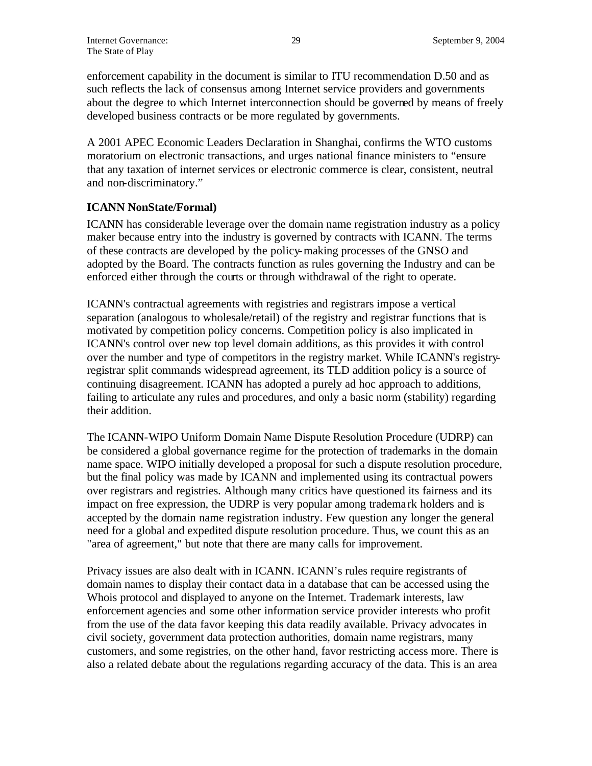enforcement capability in the document is similar to ITU recommendation D.50 and as such reflects the lack of consensus among Internet service providers and governments about the degree to which Internet interconnection should be governed by means of freely developed business contracts or be more regulated by governments.

A 2001 APEC Economic Leaders Declaration in Shanghai, confirms the WTO customs moratorium on electronic transactions, and urges national finance ministers to "ensure that any taxation of internet services or electronic commerce is clear, consistent, neutral and non-discriminatory."

## **ICANN NonState/Formal)**

ICANN has considerable leverage over the domain name registration industry as a policy maker because entry into the industry is governed by contracts with ICANN. The terms of these contracts are developed by the policy-making processes of the GNSO and adopted by the Board. The contracts function as rules governing the Industry and can be enforced either through the courts or through withdrawal of the right to operate.

ICANN's contractual agreements with registries and registrars impose a vertical separation (analogous to wholesale/retail) of the registry and registrar functions that is motivated by competition policy concerns. Competition policy is also implicated in ICANN's control over new top level domain additions, as this provides it with control over the number and type of competitors in the registry market. While ICANN's registryregistrar split commands widespread agreement, its TLD addition policy is a source of continuing disagreement. ICANN has adopted a purely ad hoc approach to additions, failing to articulate any rules and procedures, and only a basic norm (stability) regarding their addition.

The ICANN-WIPO Uniform Domain Name Dispute Resolution Procedure (UDRP) can be considered a global governance regime for the protection of trademarks in the domain name space. WIPO initially developed a proposal for such a dispute resolution procedure, but the final policy was made by ICANN and implemented using its contractual powers over registrars and registries. Although many critics have questioned its fairness and its impact on free expression, the UDRP is very popular among tradema rk holders and is accepted by the domain name registration industry. Few question any longer the general need for a global and expedited dispute resolution procedure. Thus, we count this as an "area of agreement," but note that there are many calls for improvement.

Privacy issues are also dealt with in ICANN. ICANN's rules require registrants of domain names to display their contact data in a database that can be accessed using the Whois protocol and displayed to anyone on the Internet. Trademark interests, law enforcement agencies and some other information service provider interests who profit from the use of the data favor keeping this data readily available. Privacy advocates in civil society, government data protection authorities, domain name registrars, many customers, and some registries, on the other hand, favor restricting access more. There is also a related debate about the regulations regarding accuracy of the data. This is an area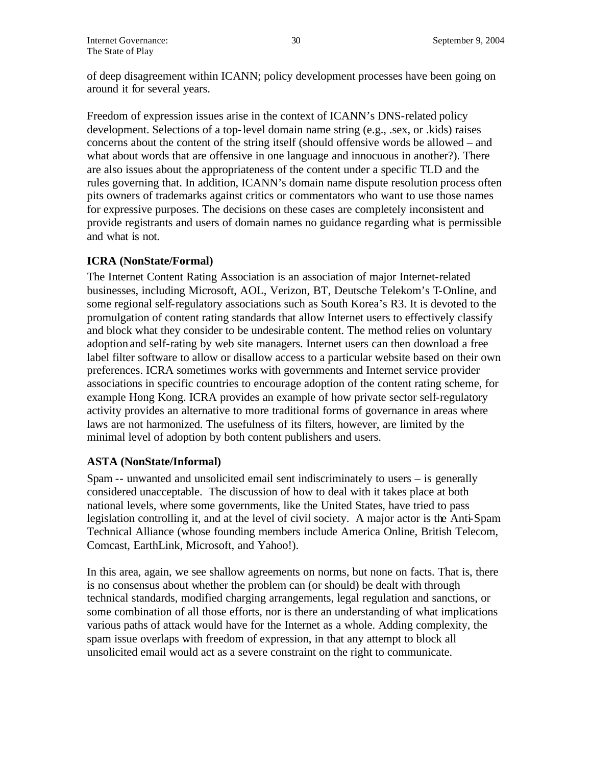of deep disagreement within ICANN; policy development processes have been going on around it for several years.

Freedom of expression issues arise in the context of ICANN's DNS-related policy development. Selections of a top-level domain name string (e.g., .sex, or .kids) raises concerns about the content of the string itself (should offensive words be allowed – and what about words that are offensive in one language and innocuous in another?). There are also issues about the appropriateness of the content under a specific TLD and the rules governing that. In addition, ICANN's domain name dispute resolution process often pits owners of trademarks against critics or commentators who want to use those names for expressive purposes. The decisions on these cases are completely inconsistent and provide registrants and users of domain names no guidance regarding what is permissible and what is not.

## **ICRA (NonState/Formal)**

The Internet Content Rating Association is an association of major Internet-related businesses, including Microsoft, AOL, Verizon, BT, Deutsche Telekom's T-Online, and some regional self-regulatory associations such as South Korea's R3. It is devoted to the promulgation of content rating standards that allow Internet users to effectively classify and block what they consider to be undesirable content. The method relies on voluntary adoption and self-rating by web site managers. Internet users can then download a free label filter software to allow or disallow access to a particular website based on their own preferences. ICRA sometimes works with governments and Internet service provider associations in specific countries to encourage adoption of the content rating scheme, for example Hong Kong. ICRA provides an example of how private sector self-regulatory activity provides an alternative to more traditional forms of governance in areas where laws are not harmonized. The usefulness of its filters, however, are limited by the minimal level of adoption by both content publishers and users.

## **ASTA (NonState/Informal)**

Spam -- unwanted and unsolicited email sent indiscriminately to users – is generally considered unacceptable. The discussion of how to deal with it takes place at both national levels, where some governments, like the United States, have tried to pass legislation controlling it, and at the level of civil society. A major actor is the Anti-Spam Technical Alliance (whose founding members include America Online, British Telecom, Comcast, EarthLink, Microsoft, and Yahoo!).

In this area, again, we see shallow agreements on norms, but none on facts. That is, there is no consensus about whether the problem can (or should) be dealt with through technical standards, modified charging arrangements, legal regulation and sanctions, or some combination of all those efforts, nor is there an understanding of what implications various paths of attack would have for the Internet as a whole. Adding complexity, the spam issue overlaps with freedom of expression, in that any attempt to block all unsolicited email would act as a severe constraint on the right to communicate.